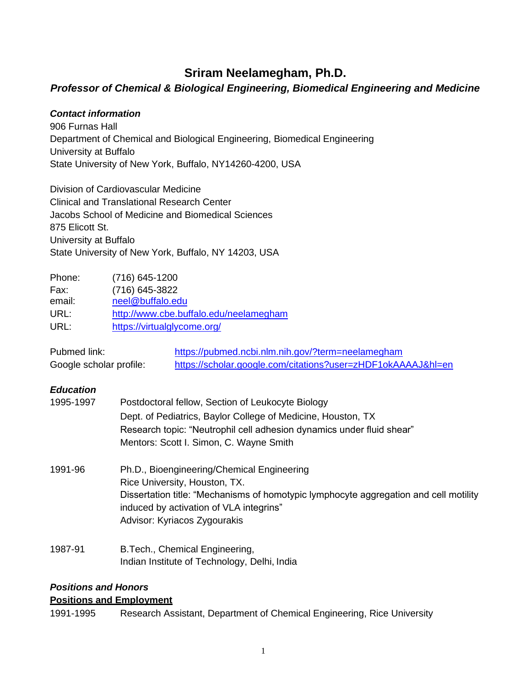# **Sriram Neelamegham, Ph.D.**

# *Professor of Chemical & Biological Engineering, Biomedical Engineering and Medicine*

### *Contact information*

906 Furnas Hall Department of Chemical and Biological Engineering, Biomedical Engineering University at Buffalo State University of New York, Buffalo, NY14260-4200, USA

Division of Cardiovascular Medicine Clinical and Translational Research Center Jacobs School of Medicine and Biomedical Sciences 875 Elicott St. University at Buffalo State University of New York, Buffalo, NY 14203, USA

| Phone: | $(716)$ 645-1200                       |
|--------|----------------------------------------|
| Fax:   | (716) 645-3822                         |
| email: | neel@buffalo.edu                       |
| URL:   | http://www.cbe.buffalo.edu/neelamegham |
| URL:   | https://virtualglycome.org/            |

| Pubmed link:            | https://pubmed.ncbi.nlm.nih.gov/?term=neelamegham            |
|-------------------------|--------------------------------------------------------------|
| Google scholar profile: | https://scholar.google.com/citations?user=zHDF1okAAAAJ&hl=en |

#### *Education*

| 1995-1997 | Postdoctoral fellow, Section of Leukocyte Biology                                                                                |  |
|-----------|----------------------------------------------------------------------------------------------------------------------------------|--|
|           | Dept. of Pediatrics, Baylor College of Medicine, Houston, TX                                                                     |  |
|           | Research topic: "Neutrophil cell adhesion dynamics under fluid shear"                                                            |  |
|           | Mentors: Scott I. Simon, C. Wayne Smith                                                                                          |  |
| 1991-96   | Ph.D., Bioengineering/Chemical Engineering                                                                                       |  |
|           | Rice University, Houston, TX.                                                                                                    |  |
|           | Dissertation title: "Mechanisms of homotypic lymphocyte aggregation and cell motility<br>induced by activation of VLA integrins" |  |
|           | Advisor: Kyriacos Zygourakis                                                                                                     |  |
| 1987-91   | B.Tech., Chemical Engineering,                                                                                                   |  |
|           | Indian Institute of Technology, Delhi, India                                                                                     |  |

### *Positions and Honors*

#### **Positions and Employment**

1991-1995 Research Assistant, Department of Chemical Engineering, Rice University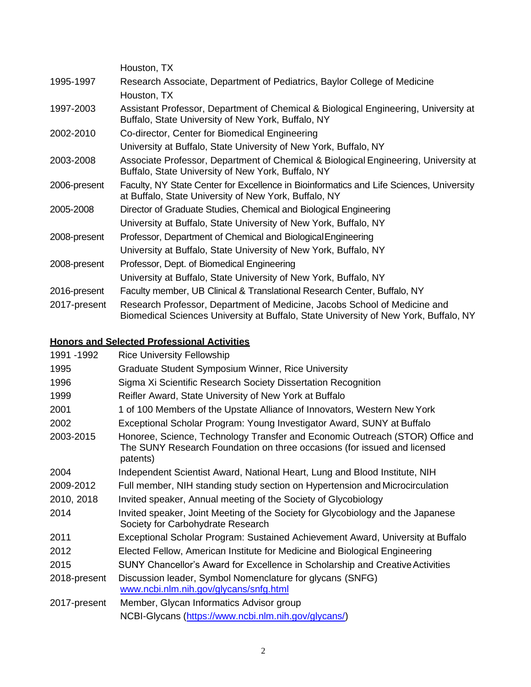|              | Houston, TX                                                                                                                                                       |
|--------------|-------------------------------------------------------------------------------------------------------------------------------------------------------------------|
| 1995-1997    | Research Associate, Department of Pediatrics, Baylor College of Medicine                                                                                          |
|              | Houston, TX                                                                                                                                                       |
| 1997-2003    | Assistant Professor, Department of Chemical & Biological Engineering, University at<br>Buffalo, State University of New York, Buffalo, NY                         |
| 2002-2010    | Co-director, Center for Biomedical Engineering                                                                                                                    |
|              | University at Buffalo, State University of New York, Buffalo, NY                                                                                                  |
| 2003-2008    | Associate Professor, Department of Chemical & Biological Engineering, University at<br>Buffalo, State University of New York, Buffalo, NY                         |
| 2006-present | Faculty, NY State Center for Excellence in Bioinformatics and Life Sciences, University<br>at Buffalo, State University of New York, Buffalo, NY                  |
| 2005-2008    | Director of Graduate Studies, Chemical and Biological Engineering                                                                                                 |
|              | University at Buffalo, State University of New York, Buffalo, NY                                                                                                  |
| 2008-present | Professor, Department of Chemical and Biological Engineering                                                                                                      |
|              | University at Buffalo, State University of New York, Buffalo, NY                                                                                                  |
| 2008-present | Professor, Dept. of Biomedical Engineering                                                                                                                        |
|              | University at Buffalo, State University of New York, Buffalo, NY                                                                                                  |
| 2016-present | Faculty member, UB Clinical & Translational Research Center, Buffalo, NY                                                                                          |
| 2017-present | Research Professor, Department of Medicine, Jacobs School of Medicine and<br>Biomedical Sciences University at Buffalo, State University of New York, Buffalo, NY |

# **Honors and Selected Professional Activities**

| 1991 - 1992  | <b>Rice University Fellowship</b>                                                                                                                                     |
|--------------|-----------------------------------------------------------------------------------------------------------------------------------------------------------------------|
| 1995         | Graduate Student Symposium Winner, Rice University                                                                                                                    |
| 1996         | Sigma Xi Scientific Research Society Dissertation Recognition                                                                                                         |
| 1999         | Reifler Award, State University of New York at Buffalo                                                                                                                |
| 2001         | 1 of 100 Members of the Upstate Alliance of Innovators, Western New York                                                                                              |
| 2002         | Exceptional Scholar Program: Young Investigator Award, SUNY at Buffalo                                                                                                |
| 2003-2015    | Honoree, Science, Technology Transfer and Economic Outreach (STOR) Office and<br>The SUNY Research Foundation on three occasions (for issued and licensed<br>patents) |
| 2004         | Independent Scientist Award, National Heart, Lung and Blood Institute, NIH                                                                                            |
| 2009-2012    | Full member, NIH standing study section on Hypertension and Microcirculation                                                                                          |
| 2010, 2018   | Invited speaker, Annual meeting of the Society of Glycobiology                                                                                                        |
| 2014         | Invited speaker, Joint Meeting of the Society for Glycobiology and the Japanese<br>Society for Carbohydrate Research                                                  |
| 2011         | Exceptional Scholar Program: Sustained Achievement Award, University at Buffalo                                                                                       |
| 2012         | Elected Fellow, American Institute for Medicine and Biological Engineering                                                                                            |
| 2015         | SUNY Chancellor's Award for Excellence in Scholarship and Creative Activities                                                                                         |
| 2018-present | Discussion leader, Symbol Nomenclature for glycans (SNFG)<br>www.ncbi.nlm.nih.gov/glycans/snfg.html                                                                   |
| 2017-present | Member, Glycan Informatics Advisor group                                                                                                                              |
|              | NCBI-Glycans (https://www.ncbi.nlm.nih.gov/glycans/)                                                                                                                  |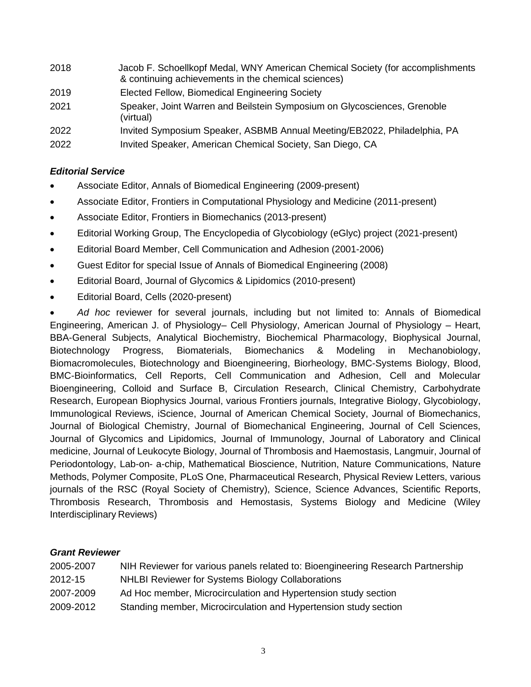| 2018 | Jacob F. Schoellkopf Medal, WNY American Chemical Society (for accomplishments<br>& continuing achievements in the chemical sciences) |
|------|---------------------------------------------------------------------------------------------------------------------------------------|
| 2019 | Elected Fellow, Biomedical Engineering Society                                                                                        |
| 2021 | Speaker, Joint Warren and Beilstein Symposium on Glycosciences, Grenoble<br>(virtual)                                                 |
| 2022 | Invited Symposium Speaker, ASBMB Annual Meeting/EB2022, Philadelphia, PA                                                              |
| 2022 | Invited Speaker, American Chemical Society, San Diego, CA                                                                             |

### *Editorial Service*

- Associate Editor, Annals of Biomedical Engineering (2009-present)
- Associate Editor, Frontiers in Computational Physiology and Medicine (2011-present)
- Associate Editor, Frontiers in Biomechanics (2013-present)
- Editorial Working Group, The Encyclopedia of Glycobiology (eGlyc) project (2021-present)
- Editorial Board Member, Cell Communication and Adhesion (2001-2006)
- Guest Editor for special Issue of Annals of Biomedical Engineering (2008)
- Editorial Board, Journal of Glycomics & Lipidomics (2010-present)
- Editorial Board, Cells (2020-present)

• *Ad hoc* reviewer for several journals, including but not limited to: Annals of Biomedical Engineering, American J. of Physiology– Cell Physiology, American Journal of Physiology – Heart, BBA-General Subjects, Analytical Biochemistry, Biochemical Pharmacology, Biophysical Journal, Biotechnology Progress, Biomaterials, Biomechanics & Modeling in Mechanobiology, Biomacromolecules, Biotechnology and Bioengineering, Biorheology, BMC-Systems Biology, Blood, BMC-Bioinformatics, Cell Reports, Cell Communication and Adhesion, Cell and Molecular Bioengineering, Colloid and Surface B, Circulation Research, Clinical Chemistry, Carbohydrate Research, European Biophysics Journal, various Frontiers journals, Integrative Biology, Glycobiology, Immunological Reviews, iScience, Journal of American Chemical Society, Journal of Biomechanics, Journal of Biological Chemistry, Journal of Biomechanical Engineering, Journal of Cell Sciences, Journal of Glycomics and Lipidomics, Journal of Immunology, Journal of Laboratory and Clinical medicine, Journal of Leukocyte Biology, Journal of Thrombosis and Haemostasis, Langmuir, Journal of Periodontology, Lab-on- a-chip, Mathematical Bioscience, Nutrition, Nature Communications, Nature Methods, Polymer Composite, PLoS One, Pharmaceutical Research, Physical Review Letters, various journals of the RSC (Royal Society of Chemistry), Science, Science Advances, Scientific Reports, Thrombosis Research, Thrombosis and Hemostasis, Systems Biology and Medicine (Wiley Interdisciplinary Reviews)

# *Grant Reviewer*

| 2005-2007 | NIH Reviewer for various panels related to: Bioengineering Research Partnership |
|-----------|---------------------------------------------------------------------------------|
| 2012-15   | <b>NHLBI Reviewer for Systems Biology Collaborations</b>                        |
| 2007-2009 | Ad Hoc member, Microcirculation and Hypertension study section                  |
| 2009-2012 | Standing member, Microcirculation and Hypertension study section                |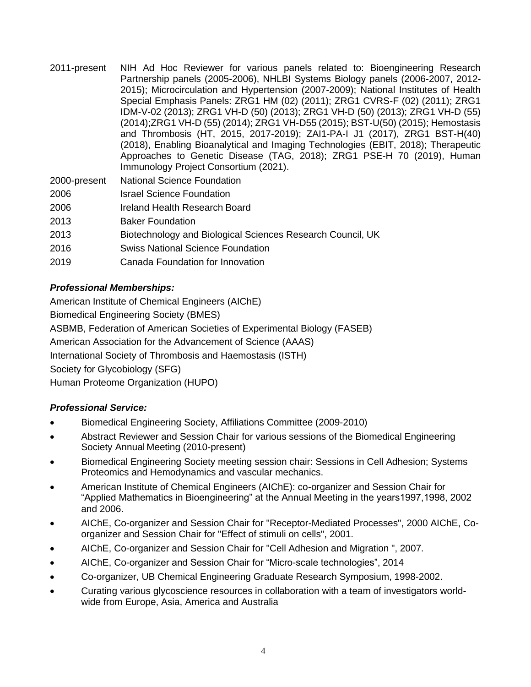2011-present NIH Ad Hoc Reviewer for various panels related to: Bioengineering Research Partnership panels (2005-2006), NHLBI Systems Biology panels (2006-2007, 2012- 2015); Microcirculation and Hypertension (2007-2009); National Institutes of Health Special Emphasis Panels: ZRG1 HM (02) (2011); ZRG1 CVRS-F (02) (2011); ZRG1 IDM-V-02 (2013); ZRG1 VH-D (50) (2013); ZRG1 VH-D (50) (2013); ZRG1 VH-D (55) (2014);ZRG1 VH-D (55) (2014); ZRG1 VH-D55 (2015); BST-U(50) (2015); Hemostasis and Thrombosis (HT, 2015, 2017-2019); ZAI1-PA-I J1 (2017), ZRG1 BST-H(40) (2018), Enabling Bioanalytical and Imaging Technologies (EBIT, 2018); Therapeutic Approaches to Genetic Disease (TAG, 2018); ZRG1 PSE-H 70 (2019), Human Immunology Project Consortium (2021).

| 2000-present | <b>National Science Foundation</b>                         |
|--------------|------------------------------------------------------------|
| 2006         | <b>Israel Science Foundation</b>                           |
| 2006         | Ireland Health Research Board                              |
| 2013         | <b>Baker Foundation</b>                                    |
| 2013         | Biotechnology and Biological Sciences Research Council, UK |
| 2016         | <b>Swiss National Science Foundation</b>                   |
| 2019         | Canada Foundation for Innovation                           |

# *Professional Memberships:*

American Institute of Chemical Engineers (AIChE) Biomedical Engineering Society (BMES)

ASBMB, Federation of American Societies of Experimental Biology (FASEB)

American Association for the Advancement of Science (AAAS)

International Society of Thrombosis and Haemostasis (ISTH)

Society for Glycobiology (SFG)

Human Proteome Organization (HUPO)

# *Professional Service:*

- Biomedical Engineering Society, Affiliations Committee (2009-2010)
- Abstract Reviewer and Session Chair for various sessions of the Biomedical Engineering Society Annual Meeting (2010-present)
- Biomedical Engineering Society meeting session chair: Sessions in Cell Adhesion; Systems Proteomics and Hemodynamics and vascular mechanics.
- American Institute of Chemical Engineers (AIChE): co-organizer and Session Chair for "Applied Mathematics in Bioengineering" at the Annual Meeting in the years1997,1998, 2002 and 2006.
- AIChE, Co-organizer and Session Chair for "Receptor-Mediated Processes", 2000 AIChE, Coorganizer and Session Chair for "Effect of stimuli on cells", 2001.
- AIChE, Co-organizer and Session Chair for "Cell Adhesion and Migration ", 2007.
- AIChE, Co-organizer and Session Chair for "Micro-scale technologies", 2014
- Co-organizer, UB Chemical Engineering Graduate Research Symposium, 1998-2002.
- Curating various glycoscience resources in collaboration with a team of investigators worldwide from Europe, Asia, America and Australia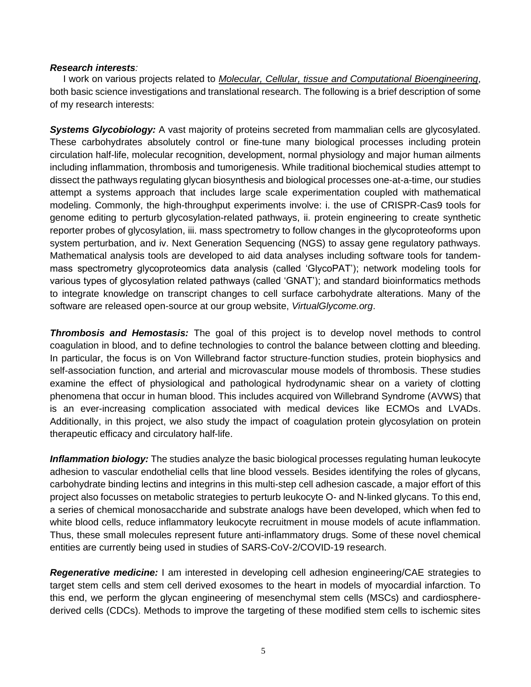#### *Research interests:*

 I work on various projects related to *Molecular, Cellular, tissue and Computational Bioengineering*, both basic science investigations and translational research. The following is a brief description of some of my research interests:

**Systems Glycobiology:** A vast majority of proteins secreted from mammalian cells are glycosylated. These carbohydrates absolutely control or fine-tune many biological processes including protein circulation half-life, molecular recognition, development, normal physiology and major human ailments including inflammation, thrombosis and tumorigenesis. While traditional biochemical studies attempt to dissect the pathways regulating glycan biosynthesis and biological processes one-at-a-time, our studies attempt a systems approach that includes large scale experimentation coupled with mathematical modeling. Commonly, the high-throughput experiments involve: i. the use of CRISPR-Cas9 tools for genome editing to perturb glycosylation-related pathways, ii. protein engineering to create synthetic reporter probes of glycosylation, iii. mass spectrometry to follow changes in the glycoproteoforms upon system perturbation, and iv. Next Generation Sequencing (NGS) to assay gene regulatory pathways. Mathematical analysis tools are developed to aid data analyses including software tools for tandemmass spectrometry glycoproteomics data analysis (called 'GlycoPAT'); network modeling tools for various types of glycosylation related pathways (called 'GNAT'); and standard bioinformatics methods to integrate knowledge on transcript changes to cell surface carbohydrate alterations. Many of the software are released open-source at our group website, *VirtualGlycome.org*.

*Thrombosis and Hemostasis:* The goal of this project is to develop novel methods to control coagulation in blood, and to define technologies to control the balance between clotting and bleeding. In particular, the focus is on Von Willebrand factor structure-function studies, protein biophysics and self-association function, and arterial and microvascular mouse models of thrombosis. These studies examine the effect of physiological and pathological hydrodynamic shear on a variety of clotting phenomena that occur in human blood. This includes acquired von Willebrand Syndrome (AVWS) that is an ever-increasing complication associated with medical devices like ECMOs and LVADs. Additionally, in this project, we also study the impact of coagulation protein glycosylation on protein therapeutic efficacy and circulatory half-life.

*Inflammation biology:* The studies analyze the basic biological processes regulating human leukocyte adhesion to vascular endothelial cells that line blood vessels. Besides identifying the roles of glycans, carbohydrate binding lectins and integrins in this multi-step cell adhesion cascade, a major effort of this project also focusses on metabolic strategies to perturb leukocyte O- and N-linked glycans. To this end, a series of chemical monosaccharide and substrate analogs have been developed, which when fed to white blood cells, reduce inflammatory leukocyte recruitment in mouse models of acute inflammation. Thus, these small molecules represent future anti-inflammatory drugs. Some of these novel chemical entities are currently being used in studies of SARS-CoV-2/COVID-19 research.

*Regenerative medicine:* I am interested in developing cell adhesion engineering/CAE strategies to target stem cells and stem cell derived exosomes to the heart in models of myocardial infarction. To this end, we perform the glycan engineering of mesenchymal stem cells (MSCs) and cardiospherederived cells (CDCs). Methods to improve the targeting of these modified stem cells to ischemic sites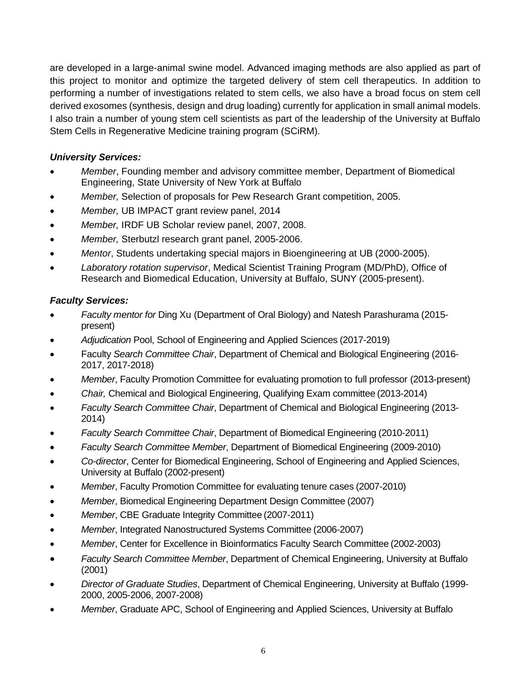are developed in a large-animal swine model. Advanced imaging methods are also applied as part of this project to monitor and optimize the targeted delivery of stem cell therapeutics. In addition to performing a number of investigations related to stem cells, we also have a broad focus on stem cell derived exosomes (synthesis, design and drug loading) currently for application in small animal models. I also train a number of young stem cell scientists as part of the leadership of the University at Buffalo Stem Cells in Regenerative Medicine training program (SCiRM).

# *University Services:*

- *Member*, Founding member and advisory committee member, Department of Biomedical Engineering, State University of New York at Buffalo
- *Member,* Selection of proposals for Pew Research Grant competition, 2005.
- *Member,* UB IMPACT grant review panel, 2014
- *Member,* IRDF UB Scholar review panel, 2007, 2008.
- *Member,* Sterbutzl research grant panel, 2005-2006.
- *Mentor*, Students undertaking special majors in Bioengineering at UB (2000-2005).
- *Laboratory rotation supervisor*, Medical Scientist Training Program (MD/PhD), Office of Research and Biomedical Education, University at Buffalo, SUNY (2005-present).

# *Faculty Services:*

- *Faculty mentor for* Ding Xu (Department of Oral Biology) and Natesh Parashurama (2015 present)
- *Adjudication* Pool, School of Engineering and Applied Sciences (2017-2019)
- Faculty *Search Committee Chair*, Department of Chemical and Biological Engineering (2016- 2017, 2017-2018)
- *Member*, Faculty Promotion Committee for evaluating promotion to full professor (2013-present)
- *Chair,* Chemical and Biological Engineering, Qualifying Exam committee (2013-2014)
- *Faculty Search Committee Chair*, Department of Chemical and Biological Engineering (2013- 2014)
- *Faculty Search Committee Chair*, Department of Biomedical Engineering (2010-2011)
- *Faculty Search Committee Member*, Department of Biomedical Engineering (2009-2010)
- *Co-director*, Center for Biomedical Engineering, School of Engineering and Applied Sciences, University at Buffalo (2002-present)
- *Member*, Faculty Promotion Committee for evaluating tenure cases (2007-2010)
- *Member*, Biomedical Engineering Department Design Committee (2007)
- *Member*, CBE Graduate Integrity Committee (2007-2011)
- *Member*, Integrated Nanostructured Systems Committee (2006-2007)
- *Member*, Center for Excellence in Bioinformatics Faculty Search Committee (2002-2003)
- *Faculty Search Committee Member*, Department of Chemical Engineering, University at Buffalo (2001)
- *Director of Graduate Studies*, Department of Chemical Engineering, University at Buffalo (1999- 2000, 2005-2006, 2007-2008)
- *Member*, Graduate APC, School of Engineering and Applied Sciences, University at Buffalo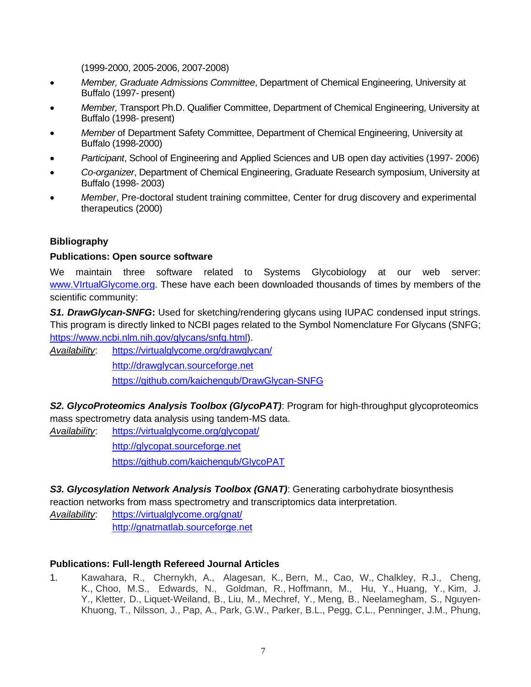(1999-2000, 2005-2006, 2007-2008)

- *Member, Graduate Admissions Committee*, Department of Chemical Engineering, University at Buffalo (1997- present)
- *Member,* Transport Ph.D. Qualifier Committee, Department of Chemical Engineering, University at Buffalo (1998- present)
- *Member* of Department Safety Committee, Department of Chemical Engineering, University at Buffalo (1998-2000)
- *Participant*, School of Engineering and Applied Sciences and UB open day activities (1997- 2006)
- *Co-organizer*, Department of Chemical Engineering, Graduate Research symposium, University at Buffalo (1998- 2003)
- *Member*, Pre-doctoral student training committee, Center for drug discovery and experimental therapeutics (2000)

# **Bibliography**

### **Publications: Open source software**

We maintain three software related to Systems Glycobiology at our web server: [www.VIrtualGlycome.org.](http://www.virtualglycome.org/) These have each been downloaded thousands of times by members of the scientific community:

*S1. DrawGlycan-SNFG***:** Used for sketching/rendering glycans using IUPAC condensed input strings. This program is directly linked to NCBI pages related to the Symbol Nomenclature For Glycans (SNFG; [https://www.ncbi.nlm.nih.gov/glycans/snfg.html\)](https://www.ncbi.nlm.nih.gov/glycans/snfg.html).

*Availability*: <https://virtualglycome.org/drawglycan/> [http://drawglycan.sourceforge.net](http://drawglycan.sourceforge.net/) <https://github.com/kaichengub/DrawGlycan-SNFG>

*S2. GlycoProteomics Analysis Toolbox (GlycoPAT)*: Program for high-throughput glycoproteomics mass spectrometry data analysis using tandem-MS data.

*Availability*: <https://virtualglycome.org/glycopat/> [http://glycopat.sourceforge.net](http://glycopat.sourceforge.net/) <https://github.com/kaichengub/GlycoPAT>

*S3. Glycosylation Network Analysis Toolbox (GNAT)*: Generating carbohydrate biosynthesis reaction networks from mass spectrometry and transcriptomics data interpretation.

*Availability*: <https://virtualglycome.org/gnat/> [http://gnatmatlab.sourceforge.net](http://gnatmatlab.sourceforge.net/)

# **Publications: Full-length Refereed Journal Articles**

1. Kawahara, R., Chernykh, A., Alagesan, K., Bern, M., Cao, W., Chalkley, R.J., Cheng, K., Choo, M.S., Edwards, N., Goldman, R., Hoffmann, M., Hu, Y., Huang, Y., Kim, J. Y., Kletter, D., Liquet-Weiland, B., Liu, M., Mechref, Y., Meng, B., Neelamegham, S., Nguyen-Khuong, T., Nilsson, J., Pap, A., Park, G.W., Parker, B.L., Pegg, C.L., Penninger, J.M., Phung,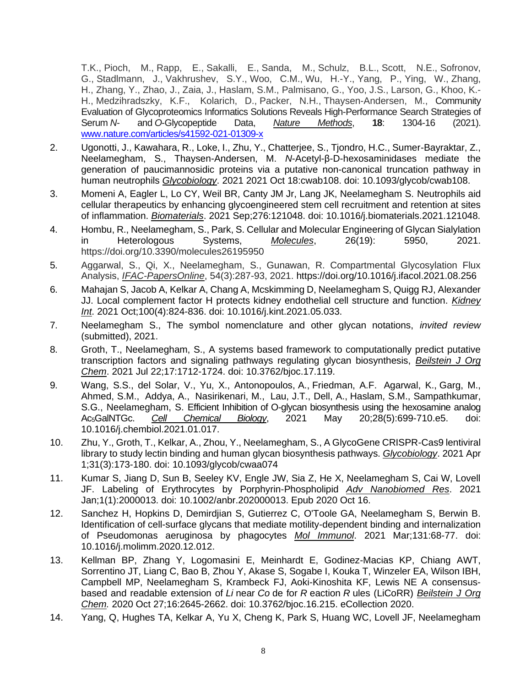T.K., Pioch, M., Rapp, E., Sakalli, E., Sanda, M., Schulz, B.L., Scott, N.E., Sofronov, G., Stadlmann, J., Vakhrushev, S.Y., Woo, C.M., Wu, H.-Y., Yang, P., Ying, W., Zhang, H., Zhang, Y., Zhao, J., Zaia, J., Haslam, S.M., Palmisano, G., Yoo, J.S., Larson, G., Khoo, K.- H., Medzihradszky, K.F., Kolarich, D., Packer, N.H., Thaysen-Andersen, M., Community Evaluation of Glycoproteomics Informatics Solutions Reveals High-Performance Search Strategies of Serum *N*- and *O*-Glycopeptide Data, *Nature Methods*, **18**: 1304-16 (2021). [www.nature.com/articles/s41592-021-01309-x](http://www.nature.com/articles/s41592-021-01309-x)

- 2. Ugonotti, J., Kawahara, R., Loke, I., Zhu, Y., Chatterjee, S., Tjondro, H.C., Sumer-Bayraktar, Z., Neelamegham, S., Thaysen-Andersen, M. *N*-Acetyl-β-D-hexosaminidases mediate the generation of paucimannosidic proteins via a putative non-canonical truncation pathway in human neutrophils *Glycobiology*. 2021 2021 Oct 18:cwab108. doi: 10.1093/glycob/cwab108.
- 3. Momeni A, Eagler L, Lo CY, Weil BR, Canty JM Jr, Lang JK, Neelamegham S. Neutrophils aid cellular therapeutics by enhancing glycoengineered stem cell recruitment and retention at sites of inflammation. *Biomaterials*. 2021 Sep;276:121048. doi: 10.1016/j.biomaterials.2021.121048.
- 4. Hombu, R., Neelamegham, S., Park, S. Cellular and Molecular Engineering of Glycan Sialylation in Heterologous Systems, *Molecules*, 26(19): 5950, 2021. https://doi.org/10.3390/molecules26195950
- 5. Aggarwal, S., Qi, X., Neelamegham, S., Gunawan, R. Compartmental Glycosylation Flux Analysis, *IFAC-PapersOnline*, 54(3):287-93, 2021. https://doi.org/10.1016/j.ifacol.2021.08.256
- 6. Mahajan S, Jacob A, Kelkar A, Chang A, Mcskimming D, Neelamegham S, Quigg RJ, Alexander JJ. Local complement factor H protects kidney endothelial cell structure and function. *Kidney Int*. 2021 Oct;100(4):824-836. doi: 10.1016/j.kint.2021.05.033.
- 7. Neelamegham S., The symbol nomenclature and other glycan notations, *invited review* (submitted), 2021.
- 8. Groth, T., Neelamegham, S., A systems based framework to computationally predict putative transcription factors and signaling pathways regulating glycan biosynthesis, *Beilstein J Org Chem*. 2021 Jul 22;17:1712-1724. doi: 10.3762/bjoc.17.119.
- 9. Wang, S.S., del Solar, V., Yu, X., Antonopoulos, A., Friedman, A.F. Agarwal, K., Garg, M., Ahmed, S.M., Addya, A., Nasirikenari, M., Lau, J.T., Dell, A., Haslam, S.M., Sampathkumar, S.G., Neelamegham, S. Efficient Inhibition of O-glycan biosynthesis using the hexosamine analog Ac5GalNTGc. *Cell Chemical Biology*, 2021 May 20;28(5):699-710.e5. doi: 10.1016/j.chembiol.2021.01.017.
- 10. Zhu, Y., Groth, T., Kelkar, A., Zhou, Y., Neelamegham, S., A GlycoGene CRISPR-Cas9 lentiviral library to study lectin binding and human glycan biosynthesis pathways. *Glycobiology*. 2021 Apr 1;31(3):173-180. doi: 10.1093/glycob/cwaa074
- 11. Kumar S, Jiang D, Sun B, Seeley KV, Engle JW, Sia Z, He X, Neelamegham S, Cai W, Lovell JF. Labeling of Erythrocytes by Porphyrin-Phospholipid *Adv Nanobiomed Res*. 2021 Jan;1(1):2000013. doi: 10.1002/anbr.202000013. Epub 2020 Oct 16.
- 12. Sanchez H, Hopkins D, Demirdjian S, Gutierrez C, O'Toole GA, Neelamegham S, Berwin B. Identification of cell-surface glycans that mediate motility-dependent binding and internalization of Pseudomonas aeruginosa by phagocytes *Mol Immunol*. 2021 Mar;131:68-77. doi: 10.1016/j.molimm.2020.12.012.
- 13. Kellman BP, Zhang Y, Logomasini E, Meinhardt E, Godinez-Macias KP, Chiang AWT, Sorrentino JT, Liang C, Bao B, Zhou Y, Akase S, Sogabe I, Kouka T, Winzeler EA, Wilson IBH, Campbell MP, Neelamegham S, Krambeck FJ, Aoki-Kinoshita KF, Lewis NE A consensusbased and readable extension of *Li* near *Co* de for *R* eaction *R* ules (LiCoRR) *Beilstein J Org Chem.* 2020 Oct 27;16:2645-2662. doi: 10.3762/bjoc.16.215. eCollection 2020.
- 14. Yang, Q, Hughes TA, Kelkar A, Yu X, Cheng K, Park S, Huang WC, Lovell JF, Neelamegham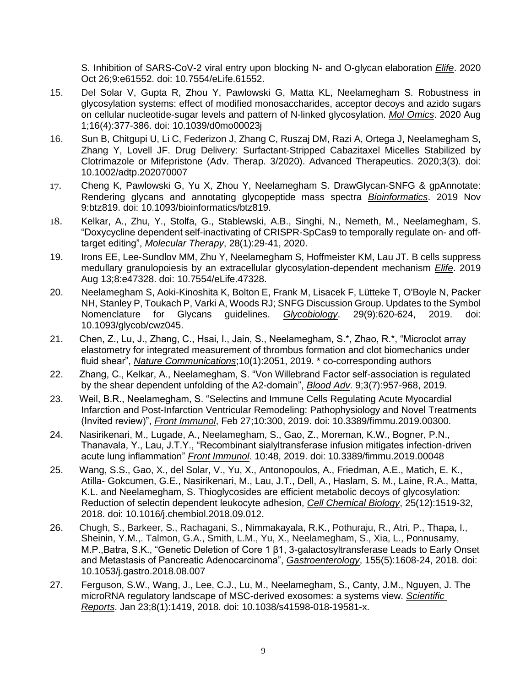S. Inhibition of SARS-CoV-2 viral entry upon blocking N- and O-glycan elaboration *Elife*. 2020 Oct 26;9:e61552. doi: 10.7554/eLife.61552.

- 15. Del Solar V, Gupta R, Zhou Y, Pawlowski G, Matta KL, Neelamegham S. Robustness in glycosylation systems: effect of modified monosaccharides, acceptor decoys and azido sugars on cellular nucleotide-sugar levels and pattern of N-linked glycosylation. *Mol Omics*. 2020 Aug 1;16(4):377-386. doi: 10.1039/d0mo00023j
- 16. Sun B, Chitgupi U, Li C, Federizon J, Zhang C, Ruszaj DM, Razi A, Ortega J, Neelamegham S, Zhang Y, Lovell JF. Drug Delivery: Surfactant‐Stripped Cabazitaxel Micelles Stabilized by Clotrimazole or Mifepristone (Adv. Therap. 3/2020). Advanced Therapeutics. 2020;3(3). doi: 10.1002/adtp.202070007
- 17. Cheng K, Pawlowski G, Yu X, Zhou Y, Neelamegham S. DrawGlycan-SNFG & gpAnnotate: Rendering glycans and annotating glycopeptide mass spectra *Bioinformatics*. 2019 Nov 9:btz819. doi: 10.1093/bioinformatics/btz819.
- 18. Kelkar, A., Zhu, Y., Stolfa, G., Stablewski, A.B., Singhi, N., Nemeth, M., Neelamegham, S. "Doxycycline dependent self-inactivating of CRISPR-SpCas9 to temporally regulate on- and offtarget editing", *Molecular Therapy*, 28(1):29-41, 2020.
- 19. Irons EE, Lee-Sundlov MM, Zhu Y, Neelamegham S, Hoffmeister KM, Lau JT. B cells suppress medullary granulopoiesis by an extracellular glycosylation-dependent mechanism *Elife*. 2019 Aug 13;8:e47328. doi: 10.7554/eLife.47328.
- 20. Neelamegham S, Aoki-Kinoshita K, Bolton E, Frank M, Lisacek F, Lütteke T, O'Boyle N, Packer NH, Stanley P, Toukach P, Varki A, Woods RJ; SNFG Discussion Group. Updates to the Symbol Nomenclature for Glycans guidelines. *Glycobiology*. 29(9):620-624, 2019. doi: 10.1093/glycob/cwz045.
- 21. Chen, Z., Lu, J., Zhang, C., Hsai, I., Jain, S., Neelamegham, S.\*, Zhao, R.\*, "Microclot array elastometry for integrated measurement of thrombus formation and clot biomechanics under fluid shear", *Nature Communications*;10(1):2051, 2019. \* co-corresponding authors
- 22. Zhang, C., Kelkar, A., Neelamegham, S. "Von Willebrand Factor self-association is regulated by the shear dependent unfolding of the A2-domain", *Blood Adv*. 9;3(7):957-968, 2019.
- 23. Weil, B.R., Neelamegham, S. "Selectins and Immune Cells Regulating Acute Myocardial Infarction and Post-Infarction Ventricular Remodeling: Pathophysiology and Novel Treatments (Invited review)", *Front Immunol*, Feb 27;10:300, 2019. doi: 10.3389/fimmu.2019.00300.
- 24. Nasirikenari, M., Lugade, A., Neelamegham, S., Gao, Z., Moreman, K.W., Bogner, P.N., Thanavala, Y., Lau, J.T.Y., "Recombinant sialyltransferase infusion mitigates infection-driven acute lung inflammation" *Front Immunol*. 10:48, 2019. doi: 10.3389/fimmu.2019.00048
- 25. Wang, S.S., Gao, X., del Solar, V., Yu, X., Antonopoulos, A., Friedman, A.E., Matich, E. K., Atilla- Gokcumen, G.E., Nasirikenari, M., Lau, J.T., Dell, A., Haslam, S. M., Laine, R.A., Matta, K.L. and Neelamegham, S. Thioglycosides are efficient metabolic decoys of glycosylation: Reduction of selectin dependent leukocyte adhesion, *Cell Chemical Biology*, 25(12):1519-32, 2018. doi: 10.1016/j.chembiol.2018.09.012.
- 26. Chugh, S., Barkeer, S., Rachagani, S., Nimmakayala, R.K., Pothuraju, R., Atri, P., Thapa, I., Sheinin, Y.M.,. Talmon, G.A., Smith, L.M., Yu, X., Neelamegham, S., Xia, L., Ponnusamy, M.P.,Batra, S.K., "Genetic Deletion of Core 1 β1, 3-galactosyltransferase Leads to Early Onset and Metastasis of Pancreatic Adenocarcinoma", *Gastroenterology*, 155(5):1608-24, 2018. doi: 10.1053/j.gastro.2018.08.007
- 27. Ferguson, S.W., Wang, J., Lee, C.J., Lu, M., Neelamegham, S., Canty, J.M., Nguyen, J. The microRNA regulatory landscape of MSC-derived exosomes: a systems view. *Scientific Reports*. Jan 23;8(1):1419, 2018. doi: 10.1038/s41598-018-19581-x.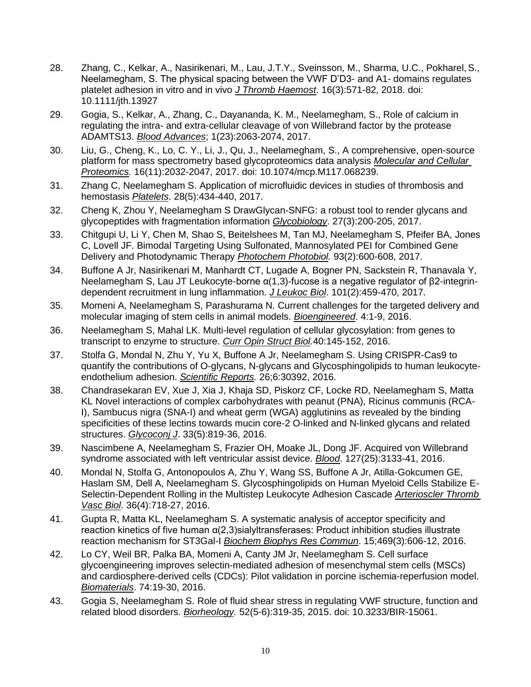- 28. Zhang, C., Kelkar, A., Nasirikenari, M., Lau, J.T.Y., Sveinsson, M., Sharma, U.C., Pokharel,S., Neelamegham, S. The physical spacing between the VWF D'D3- and A1- domains regulates platelet adhesion in vitro and in vivo *J Thromb Haemost*. 16(3):571-82, 2018. doi: 10.1111/jth.13927
- 29. Gogia, S., Kelkar, A., Zhang, C., Dayananda, K. M., Neelamegham, S., Role of calcium in regulating the intra- and extra-cellular cleavage of von Willebrand factor by the protease ADAMTS13. *Blood Advances*; 1(23):2063-2074, 2017.
- 30. Liu, G., Cheng, K., Lo, C. Y., Li, J., Qu, J., Neelamegham, S., A comprehensive, open-source platform for mass spectrometry based glycoproteomics data analysis *Molecular and Cellular Proteomics.* 16(11):2032-2047, 2017. doi: 10.1074/mcp.M117.068239.
- 31. Zhang C, Neelamegham S. Application of microfluidic devices in studies of thrombosis and hemostasis *Platelets*. 28(5):434-440, 2017.
- 32. Cheng K, Zhou Y, Neelamegham S DrawGlycan-SNFG: a robust tool to render glycans and glycopeptides with fragmentation information *Glycobiology*. 27(3):200-205, 2017.
- 33. Chitgupi U, Li Y, Chen M, Shao S, Beitelshees M, Tan MJ, Neelamegham S, Pfeifer BA, Jones C, Lovell JF. Bimodal Targeting Using Sulfonated, Mannosylated PEI for Combined Gene Delivery and Photodynamic Therapy *Photochem Photobiol.* 93(2):600-608, 2017.
- 34. Buffone A Jr, Nasirikenari M, Manhardt CT, Lugade A, Bogner PN, Sackstein R, Thanavala Y, Neelamegham S, Lau JT Leukocyte-borne α(1,3)-fucose is a negative regulator of β2-integrindependent recruitment in lung inflammation. *J Leukoc Biol*. 101(2):459-470, 2017.
- 35. Momeni A, Neelamegham S, Parashurama N. Current challenges for the targeted delivery and molecular imaging of stem cells in animal models. *Bioengineered*. 4:1-9, 2016.
- 36. Neelamegham S, Mahal LK. Multi-level regulation of cellular glycosylation: from genes to transcript to enzyme to structure. *Curr Opin Struct Biol.*40:145-152, 2016.
- 37. Stolfa G, Mondal N, Zhu Y, Yu X, Buffone A Jr, Neelamegham S. Using CRISPR-Cas9 to quantify the contributions of O-glycans, N-glycans and Glycosphingolipids to human leukocyteendothelium adhesion. *Scientific Reports.* 26;6:30392, 2016.
- 38. Chandrasekaran EV, Xue J, Xia J, Khaja SD, Piskorz CF, Locke RD, Neelamegham S, Matta KL Novel interactions of complex carbohydrates with peanut (PNA), Ricinus communis (RCA-I), Sambucus nigra (SNA-I) and wheat germ (WGA) agglutinins as revealed by the binding specificities of these lectins towards mucin core-2 O-linked and N-linked glycans and related structures. *Glycoconj J*. 33(5):819-36, 2016.
- 39. Nascimbene A, Neelamegham S, Frazier OH, Moake JL, Dong JF. Acquired von Willebrand syndrome associated with left ventricular assist device. *Blood*. 127(25):3133-41, 2016.
- 40. Mondal N, Stolfa G, Antonopoulos A, Zhu Y, Wang SS, Buffone A Jr, Atilla-Gokcumen GE, Haslam SM, Dell A, Neelamegham S. Glycosphingolipids on Human Myeloid Cells Stabilize E-Selectin-Dependent Rolling in the Multistep Leukocyte Adhesion Cascade *Arterioscler Thromb Vasc Biol*. 36(4):718-27, 2016.
- 41. Gupta R, Matta KL, Neelamegham S. A systematic analysis of acceptor specificity and reaction kinetics of five human α(2,3)sialyltransferases: Product inhibition studies illustrate reaction mechanism for ST3Gal-I *Biochem Biophys Res Commun*. 15;469(3):606-12, 2016.
- 42. Lo CY, Weil BR, Palka BA, Momeni A, Canty JM Jr, Neelamegham S. Cell surface glycoengineering improves selectin-mediated adhesion of mesenchymal stem cells (MSCs) and cardiosphere-derived cells (CDCs): Pilot validation in porcine ischemia-reperfusion model. *Biomaterials*. 74:19-30, 2016.
- 43. Gogia S, Neelamegham S. Role of fluid shear stress in regulating VWF structure, function and related blood disorders. *Biorheology.* 52(5-6):319-35, 2015. doi: 10.3233/BIR-15061.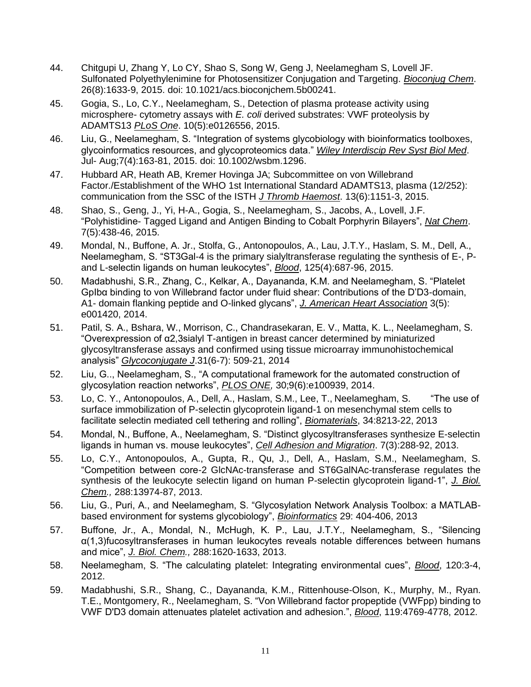- 44. Chitgupi U, Zhang Y, Lo CY, Shao S, Song W, Geng J, Neelamegham S, Lovell JF. Sulfonated Polyethylenimine for Photosensitizer Conjugation and Targeting. *Bioconjug Chem*. 26(8):1633-9, 2015. doi: 10.1021/acs.bioconjchem.5b00241.
- 45. Gogia, S., Lo, C.Y., Neelamegham, S., Detection of plasma protease activity using microsphere- cytometry assays with *E. coli* derived substrates: VWF proteolysis by ADAMTS13 *PLoS One*. 10(5):e0126556, 2015.
- 46. Liu, G., Neelamegham, S. "Integration of systems glycobiology with bioinformatics toolboxes, glycoinformatics resources, and glycoproteomics data." *Wiley Interdiscip Rev Syst Biol Med*. Jul- Aug;7(4):163-81, 2015. doi: 10.1002/wsbm.1296.
- 47. Hubbard AR, Heath AB, Kremer Hovinga JA; Subcommittee on von Willebrand Factor./Establishment of the WHO 1st International Standard ADAMTS13, plasma (12/252): communication from the SSC of the ISTH *J Thromb Haemost*. 13(6):1151-3, 2015.
- 48. Shao, S., Geng, J., Yi, H-A., Gogia, S., Neelamegham, S., Jacobs, A., Lovell, J.F. "Polyhistidine- Tagged Ligand and Antigen Binding to Cobalt Porphyrin Bilayers", *Nat Chem*. 7(5):438-46, 2015.
- 49. Mondal, N., Buffone, A. Jr., Stolfa, G., Antonopoulos, A., Lau, J.T.Y., Haslam, S. M., Dell, A., Neelamegham, S. "ST3Gal-4 is the primary sialyltransferase regulating the synthesis of E-, Pand L-selectin ligands on human leukocytes", *Blood*, 125(4):687-96, 2015.
- 50. Madabhushi, S.R., Zhang, C., Kelkar, A., Dayananda, K.M. and Neelamegham, S. "Platelet GpIbα binding to von Willebrand factor under fluid shear: Contributions of the D'D3-domain, A1- domain flanking peptide and O-linked glycans", *J. American Heart Association* 3(5): e001420, 2014.
- 51. Patil, S. A., Bshara, W., Morrison, C., Chandrasekaran, E. V., Matta, K. L., Neelamegham, S. "Overexpression of α2,3sialyl T-antigen in breast cancer determined by miniaturized glycosyltransferase assays and confirmed using tissue microarray immunohistochemical analysis" *Glycoconjugate J*.31(6-7): 509-21, 2014
- 52. Liu, G.., Neelamegham, S., "A computational framework for the automated construction of glycosylation reaction networks", *PLOS ONE,* 30;9(6):e100939, 2014.
- 53. Lo, C. Y., Antonopoulos, A., Dell, A., Haslam, S.M., Lee, T., Neelamegham, S. "The use of surface immobilization of P-selectin glycoprotein ligand-1 on mesenchymal stem cells to facilitate selectin mediated cell tethering and rolling", *Biomaterials*, 34:8213-22, 2013
- 54. Mondal, N., Buffone, A., Neelamegham, S. "Distinct glycosyltransferases synthesize E-selectin ligands in human vs. mouse leukocytes", *Cell Adhesion and Migration*. 7(3):288-92, 2013.
- 55. Lo, C.Y., Antonopoulos, A., Gupta, R., Qu, J., Dell, A., Haslam, S.M., Neelamegham, S. "Competition between core-2 GlcNAc-transferase and ST6GalNAc-transferase regulates the synthesis of the leukocyte selectin ligand on human P-selectin glycoprotein ligand-1", *J. Biol. Chem.,* 288:13974-87, 2013.
- 56. Liu, G., Puri, A., and Neelamegham, S. "Glycosylation Network Analysis Toolbox: a MATLABbased environment for systems glycobiology", *Bioinformatics* 29: 404-406, 2013
- 57. Buffone, Jr., A., Mondal, N., McHugh, K. P., Lau, J.T.Y., Neelamegham, S., "Silencing α(1,3)fucosyltransferases in human leukocytes reveals notable differences between humans and mice", *J. Biol. Chem.,* 288:1620-1633, 2013.
- 58. Neelamegham, S. "The calculating platelet: Integrating environmental cues", *Blood*, 120:3-4, 2012.
- 59. Madabhushi, S.R., Shang, C., Dayananda, K.M., Rittenhouse-Olson, K., Murphy, M., Ryan. T.E., Montgomery, R., Neelamegham, S. "Von Willebrand factor propeptide (VWFpp) binding to VWF D'D3 domain attenuates platelet activation and adhesion.", *Blood*, 119:4769-4778, 2012.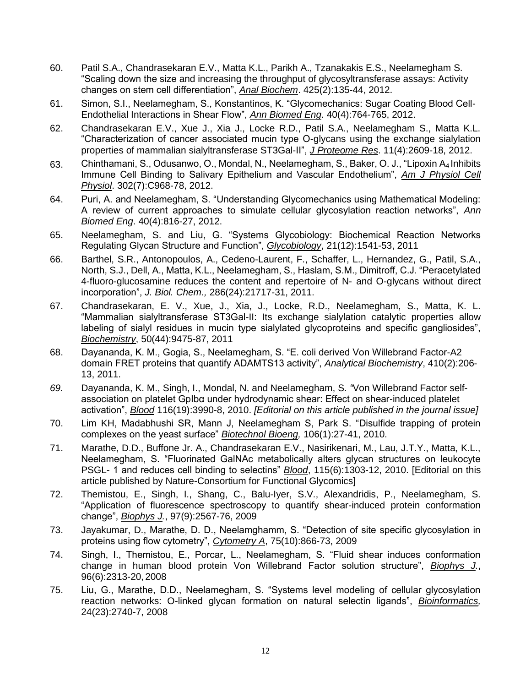- 60. Patil S.A., Chandrasekaran E.V., Matta K.L., Parikh A., Tzanakakis E.S., Neelamegham S. "Scaling down the size and increasing the throughput of glycosyltransferase assays: Activity changes on stem cell differentiation", *Anal Biochem*. 425(2):135-44, 2012.
- 61. Simon, S.I., Neelamegham, S., Konstantinos, K. "Glycomechanics: Sugar Coating Blood Cell-Endothelial Interactions in Shear Flow", *Ann Biomed Eng*. 40(4):764-765, 2012.
- 62. Chandrasekaran E.V., Xue J., Xia J., Locke R.D., Patil S.A., Neelamegham S., Matta K.L. "Characterization of cancer associated mucin type O-glycans using the exchange sialylation properties of mammalian sialyltransferase ST3Gal-II", *J Proteome Res*. 11(4):2609-18, 2012.
- 63. Chinthamani, S., Odusanwo, O., Mondal, N., Neelamegham, S., Baker, O. J., "Lipoxin A4 Inhibits Immune Cell Binding to Salivary Epithelium and Vascular Endothelium", *Am J Physiol Cell Physiol*. 302(7):C968-78, 2012.
- 64. Puri, A. and Neelamegham, S. "Understanding Glycomechanics using Mathematical Modeling: A review of current approaches to simulate cellular glycosylation reaction networks", *Ann Biomed Eng*. 40(4):816-27, 2012.
- 65. Neelamegham, S. and Liu, G. "Systems Glycobiology: Biochemical Reaction Networks Regulating Glycan Structure and Function", *Glycobiology*, 21(12):1541-53, 2011
- 66. Barthel, S.R., Antonopoulos, A., Cedeno-Laurent, F., Schaffer, L., Hernandez, G., Patil, S.A., North, S.J., Dell, A., Matta, K.L., Neelamegham, S., Haslam, S.M., Dimitroff, C.J. "Peracetylated 4-fluoro-glucosamine reduces the content and repertoire of N- and O-glycans without direct incorporation", *J. Biol. Chem.,* 286(24):21717-31, 2011.
- 67. Chandrasekaran, E. V., Xue, J., Xia, J., Locke, R.D., Neelamegham, S., Matta, K. L. "Mammalian sialyltransferase ST3Gal-II: Its exchange sialylation catalytic properties allow labeling of sialyl residues in mucin type sialylated glycoproteins and specific gangliosides", *Biochemistry*, 50(44):9475-87, 2011
- 68. Dayananda, K. M., Gogia, S., Neelamegham, S. "E. coli derived Von Willebrand Factor-A2 domain FRET proteins that quantify ADAMTS13 activity", *Analytical Biochemistry*, 410(2):206- 13, 2011.
- *69.* Dayananda, K. M., Singh, I., Mondal, N. and Neelamegham, S. *"*Von Willebrand Factor selfassociation on platelet GpIbα under hydrodynamic shear: Effect on shear-induced platelet activation", *Blood* 116(19):3990-8, 2010. *[Editorial on this article published in the journal issue]*
- 70. Lim KH, Madabhushi SR, Mann J, Neelamegham S, Park S. "Disulfide trapping of protein complexes on the yeast surface" *Biotechnol Bioeng,* 106(1):27-41, 2010.
- 71. Marathe, D.D., Buffone Jr. A., Chandrasekaran E.V., Nasirikenari, M., Lau, J.T.Y., Matta, K.L., Neelamegham, S. "Fluorinated GalNAc metabolically alters glycan structures on leukocyte PSGL- 1 and reduces cell binding to selectins" *Blood*, 115(6):1303-12, 2010. [Editorial on this article published by Nature-Consortium for Functional Glycomics]
- 72. Themistou, E., Singh, I., Shang, C., Balu-Iyer, S.V., Alexandridis, P., Neelamegham, S. "Application of fluorescence spectroscopy to quantify shear-induced protein conformation change", *Biophys J.*, 97(9):2567-76, 2009
- 73. Jayakumar, D., Marathe, D. D., Neelamghamm, S. "Detection of site specific glycosylation in proteins using flow cytometry", *Cytometry A*, 75(10):866-73, 2009
- 74. Singh, I., Themistou, E., Porcar, L., Neelamegham, S. "Fluid shear induces conformation change in human blood protein Von Willebrand Factor solution structure", *Biophys J.*, 96(6):2313-20, 2008
- 75. Liu, G., Marathe, D.D., Neelamegham, S. "Systems level modeling of cellular glycosylation reaction networks: O-linked glycan formation on natural selectin ligands", *Bioinformatics,*  24(23):2740-7, 2008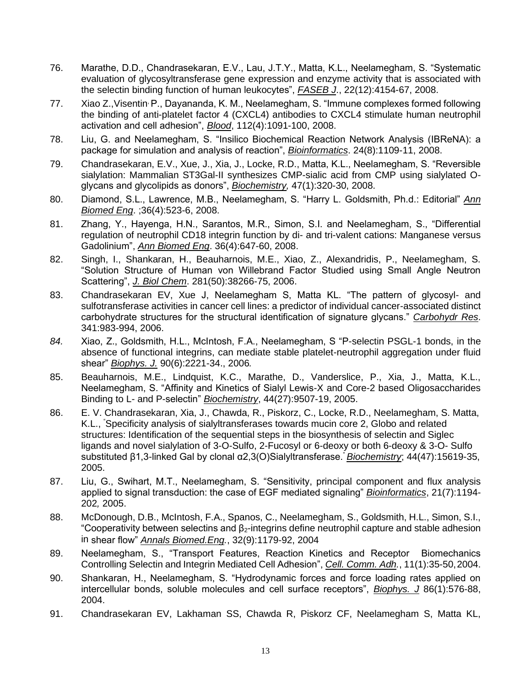- 76. Marathe, D.D., Chandrasekaran, E.V., Lau, J.T.Y., Matta, K.L., Neelamegham, S. "Systematic evaluation of glycosyltransferase gene expression and enzyme activity that is associated with the selectin binding function of human leukocytes", *FASEB J*., 22(12):4154-67, 2008.
- 77. Xiao Z.,Visentin, P., Dayananda, K. M., Neelamegham, S. "Immune complexes formed following the binding of anti-platelet factor 4 (CXCL4) antibodies to CXCL4 stimulate human neutrophil activation and cell adhesion", *Blood*, 112(4):1091-100, 2008.
- 78. Liu, G. and Neelamegham, S. "Insilico Biochemical Reaction Network Analysis (IBReNA): a package for simulation and analysis of reaction", *Bioinformatics*. 24(8):1109-11, 2008.
- 79. Chandrasekaran, E.V., Xue, J., Xia, J., Locke, R.D., Matta, K.L., Neelamegham, S. "Reversible sialylation: Mammalian ST3Gal-II synthesizes CMP-sialic acid from CMP using sialylated Oglycans and glycolipids as donors", *Biochemistry,* 47(1):320-30, 2008.
- 80. Diamond, S.L., Lawrence, M.B., Neelamegham, S. "Harry L. Goldsmith, Ph.d.: Editorial" *Ann Biomed Eng*. ;36(4):523-6, 2008.
- 81. Zhang, Y., Hayenga, H.N., Sarantos, M.R., Simon, S.I. and Neelamegham, S., "Differential regulation of neutrophil CD18 integrin function by di- and tri-valent cations: Manganese versus Gadolinium", *Ann Biomed Eng*. 36(4):647-60, 2008.
- 82. Singh, I., Shankaran, H., Beauharnois, M.E., Xiao, Z., Alexandridis, P., Neelamegham, S. "Solution Structure of Human von Willebrand Factor Studied using Small Angle Neutron Scattering", *J. Biol Chem*. 281(50):38266-75, 2006.
- 83. Chandrasekaran EV, Xue J, Neelamegham S, Matta KL. "The pattern of glycosyl- and sulfotransferase activities in cancer cell lines: a predictor of individual cancer-associated distinct carbohydrate structures for the structural identification of signature glycans." *Carbohydr Res*. 341:983-994, 2006.
- *84.* Xiao, Z., Goldsmith, H.L., McIntosh, F.A., Neelamegham, S "P-selectin PSGL-1 bonds, in the absence of functional integrins, can mediate stable platelet-neutrophil aggregation under fluid shear" *Biophys. J.* 90(6):2221-34., 2006*.*
- 85. Beauharnois, M.E., Lindquist, K.C., Marathe, D., Vanderslice, P., Xia, J., Matta, K.L., Neelamegham, S. "Affinity and Kinetics of Sialyl Lewis-X and Core-2 based Oligosaccharides Binding to L- and P-selectin" *Biochemistry*, 44(27):9507-19, 2005.
- 86. E. V. Chandrasekaran, Xia, J., Chawda, R., Piskorz, C., Locke, R.D., Neelamegham, S. Matta, K.L., "Specificity analysis of sialyltransferases towards mucin core 2, Globo and related structures: Identification of the sequential steps in the biosynthesis of selectin and Siglec ligands and novel sialylation of 3-O-Sulfo, 2-Fucosyl or 6-deoxy or both 6-deoxy & 3-O- Sulfo substituted β1,3-linked Gal by clonal α2,3(O)Sialyltransferase." *Biochemistry*; 44(47):15619-35, 2005.
- 87. Liu, G., Swihart, M.T., Neelamegham, S. "Sensitivity, principal component and flux analysis applied to signal transduction: the case of EGF mediated signaling" *Bioinformatics*, 21(7):1194- 202*,* 2005.
- 88. McDonough, D.B., McIntosh, F.A., Spanos, C., Neelamegham, S., Goldsmith, H.L., Simon, S.I., "Cooperativity between selectins and  $β<sub>2</sub>$ -integrins define neutrophil capture and stable adhesion in shear flow" *Annals Biomed.Eng.*, 32(9):1179-92, 2004
- 89. Neelamegham, S., "Transport Features, Reaction Kinetics and Receptor Biomechanics Controlling Selectin and Integrin Mediated Cell Adhesion", *Cell. Comm. Adh.*, 11(1):35-50,2004.
- 90. Shankaran, H., Neelamegham, S. "Hydrodynamic forces and force loading rates applied on intercellular bonds, soluble molecules and cell surface receptors", *Biophys. J* 86(1):576-88, 2004.
- 91. Chandrasekaran EV, Lakhaman SS, Chawda R, Piskorz CF, Neelamegham S, Matta KL,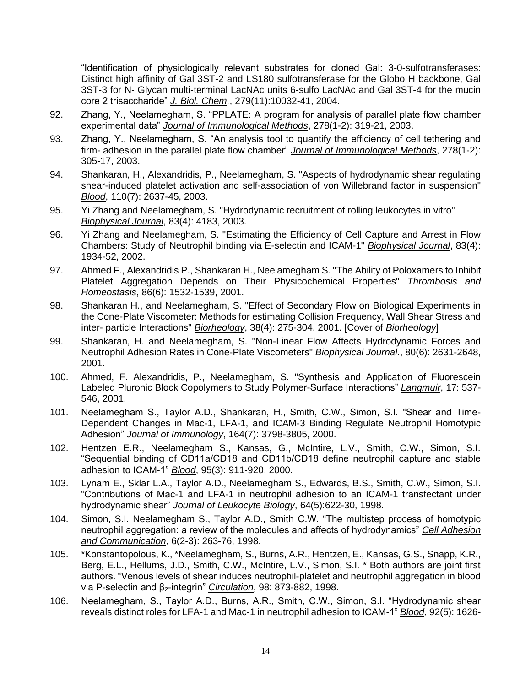"Identification of physiologically relevant substrates for cloned Gal: 3-0-sulfotransferases: Distinct high affinity of Gal 3ST-2 and LS180 sulfotransferase for the Globo H backbone, Gal 3ST-3 for N- Glycan multi-terminal LacNAc units 6-sulfo LacNAc and Gal 3ST-4 for the mucin core 2 trisaccharide" *J. Biol. Chem.*, 279(11):10032-41, 2004.

- 92. Zhang, Y., Neelamegham, S. "PPLATE: A program for analysis of parallel plate flow chamber experimental data" *Journal of Immunological Methods*, 278(1-2): 319-21, 2003.
- 93. Zhang, Y., Neelamegham, S. "An analysis tool to quantify the efficiency of cell tethering and firm- adhesion in the parallel plate flow chamber" *Journal of Immunological Methods*, 278(1-2): 305-17, 2003.
- 94. Shankaran, H., Alexandridis, P., Neelamegham, S. "Aspects of hydrodynamic shear regulating shear-induced platelet activation and self-association of von Willebrand factor in suspension" *Blood*, 110(7): 2637-45, 2003.
- 95. Yi Zhang and Neelamegham, S. "Hydrodynamic recruitment of rolling leukocytes in vitro" *Biophysical Journal*, 83(4): 4183, 2003.
- 96. Yi Zhang and Neelamegham, S. "Estimating the Efficiency of Cell Capture and Arrest in Flow Chambers: Study of Neutrophil binding via E-selectin and ICAM-1" *Biophysical Journal*, 83(4): 1934-52, 2002.
- 97. Ahmed F., Alexandridis P., Shankaran H., Neelamegham S. "The Ability of Poloxamers to Inhibit Platelet Aggregation Depends on Their Physicochemical Properties" *Thrombosis and Homeostasis*, 86(6): 1532-1539, 2001.
- 98. Shankaran H., and Neelamegham, S. "Effect of Secondary Flow on Biological Experiments in the Cone-Plate Viscometer: Methods for estimating Collision Frequency, Wall Shear Stress and inter- particle Interactions" *Biorheology*, 38(4): 275-304, 2001. [Cover of *Biorheology*]
- 99. Shankaran, H. and Neelamegham, S. "Non-Linear Flow Affects Hydrodynamic Forces and Neutrophil Adhesion Rates in Cone-Plate Viscometers" *Biophysical Journal*., 80(6): 2631-2648, 2001.
- 100. Ahmed, F. Alexandridis, P., Neelamegham, S. "Synthesis and Application of Fluorescein Labeled Pluronic Block Copolymers to Study Polymer-Surface Interactions" *Langmuir*, 17: 537- 546, 2001.
- 101. Neelamegham S., Taylor A.D., Shankaran, H., Smith, C.W., Simon, S.I. "Shear and Time-Dependent Changes in Mac-1, LFA-1, and ICAM-3 Binding Regulate Neutrophil Homotypic Adhesion" *Journal of Immunology*, 164(7): 3798-3805, 2000.
- 102. Hentzen E.R., Neelamegham S., Kansas, G., McIntire, L.V., Smith, C.W., Simon, S.I. "Sequential binding of CD11a/CD18 and CD11b/CD18 define neutrophil capture and stable adhesion to ICAM-1" *Blood*, 95(3): 911-920, 2000.
- 103. Lynam E., Sklar L.A., Taylor A.D., Neelamegham S., Edwards, B.S., Smith, C.W., Simon, S.I. "Contributions of Mac-1 and LFA-1 in neutrophil adhesion to an ICAM-1 transfectant under hydrodynamic shear" *Journal of Leukocyte Biology*, 64(5):622-30, 1998.
- 104. Simon, S.I. Neelamegham S., Taylor A.D., Smith C.W. "The multistep process of homotypic neutrophil aggregation: a review of the molecules and affects of hydrodynamics" *Cell Adhesion and Communication*, 6(2-3): 263-76, 1998.
- 105. \*Konstantopolous, K., \*Neelamegham, S., Burns, A.R., Hentzen, E., Kansas, G.S., Snapp, K.R., Berg, E.L., Hellums, J.D., Smith, C.W., McIntire, L.V., Simon, S.I. \* Both authors are joint first authors. "Venous levels of shear induces neutrophil-platelet and neutrophil aggregation in blood via P-selectin and β2-integrin" *Circulation*, 98: 873-882, 1998.
- 106. Neelamegham, S., Taylor A.D., Burns, A.R., Smith, C.W., Simon, S.I. "Hydrodynamic shear reveals distinct roles for LFA-1 and Mac-1 in neutrophil adhesion to ICAM-1" *Blood*, 92(5): 1626-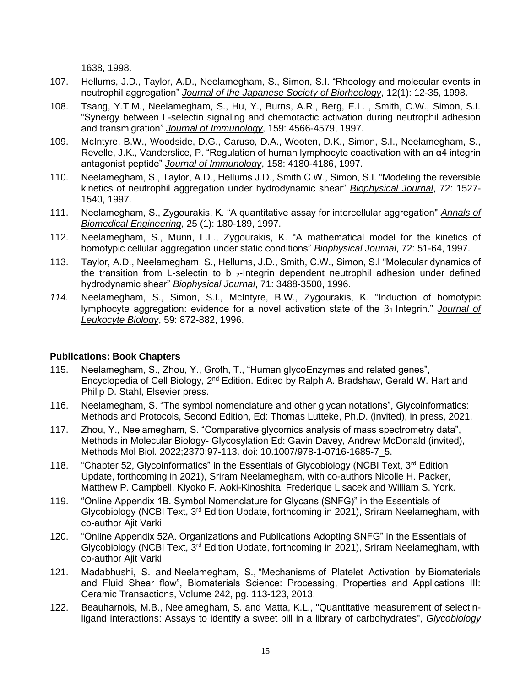1638, 1998.

- 107. Hellums, J.D., Taylor, A.D., Neelamegham, S., Simon, S.I. "Rheology and molecular events in neutrophil aggregation" *Journal of the Japanese Society of Biorheology*, 12(1): 12-35, 1998.
- 108. Tsang, Y.T.M., Neelamegham, S., Hu, Y., Burns, A.R., Berg, E.L. , Smith, C.W., Simon, S.I. "Synergy between L-selectin signaling and chemotactic activation during neutrophil adhesion and transmigration" *Journal of Immunology*, 159: 4566-4579, 1997.
- 109. McIntyre, B.W., Woodside, D.G., Caruso, D.A., Wooten, D.K., Simon, S.I., Neelamegham, S., Revelle, J.K., Vanderslice, P. "Regulation of human lymphocyte coactivation with an α4 integrin antagonist peptide" *Journal of Immunology*, 158: 4180-4186, 1997.
- 110. Neelamegham, S., Taylor, A.D., Hellums J.D., Smith C.W., Simon, S.I. "Modeling the reversible kinetics of neutrophil aggregation under hydrodynamic shear" *Biophysical Journal*, 72: 1527- 1540, 1997.
- 111. Neelamegham, S., Zygourakis, K. "A quantitative assay for intercellular aggregation" *Annals of Biomedical Engineering*, 25 (1): 180-189, 1997.
- 112. Neelamegham, S., Munn, L.L., Zygourakis, K. "A mathematical model for the kinetics of homotypic cellular aggregation under static conditions" *Biophysical Journal*, 72: 51-64, 1997.
- 113. Taylor, A.D., Neelamegham, S., Hellums, J.D., Smith, C.W., Simon, S.I "Molecular dynamics of the transition from L-selectin to b  $_2$ -Integrin dependent neutrophil adhesion under defined hydrodynamic shear" *Biophysical Journal*, 71: 3488-3500, 1996.
- *114.* Neelamegham, S., Simon, S.I., McIntyre, B.W., Zygourakis, K. "Induction of homotypic lymphocyte aggregation: evidence for a novel activation state of the β1 Integrin." *Journal of Leukocyte Biology*, 59: 872-882, 1996.

### **Publications: Book Chapters**

- 115. Neelamegham, S., Zhou, Y., Groth, T., "Human glycoEnzymes and related genes", Encyclopedia of Cell Biology, 2<sup>nd</sup> Edition. Edited by Ralph A. Bradshaw, Gerald W. Hart and Philip D. Stahl, Elsevier press.
- 116. Neelamegham, S. "The symbol nomenclature and other glycan notations", Glycoinformatics: Methods and Protocols, Second Edition, Ed: Thomas Lutteke, Ph.D. (invited), in press, 2021.
- 117. Zhou, Y., Neelamegham, S. "Comparative glycomics analysis of mass spectrometry data", Methods in Molecular Biology- Glycosylation Ed: Gavin Davey, Andrew McDonald (invited), Methods Mol Biol. 2022;2370:97-113. doi: 10.1007/978-1-0716-1685-7\_5.
- 118. "Chapter 52, Glycoinformatics" in the Essentials of Glycobiology (NCBI Text, 3<sup>rd</sup> Edition Update, forthcoming in 2021), Sriram Neelamegham, with co-authors Nicolle H. Packer, Matthew P. Campbell, Kiyoko F. Aoki-Kinoshita, Frederique Lisacek and William S. York.
- 119. "Online Appendix 1B. Symbol Nomenclature for Glycans (SNFG)" in the Essentials of Glycobiology (NCBI Text, 3<sup>rd</sup> Edition Update, forthcoming in 2021), Sriram Neelamegham, with co-author Ajit Varki
- 120. "Online Appendix 52A. Organizations and Publications Adopting SNFG" in the Essentials of Glycobiology (NCBI Text, 3<sup>rd</sup> Edition Update, forthcoming in 2021), Sriram Neelamegham, with co-author Ajit Varki
- 121. Madabhushi, S. and Neelamegham, S., "Mechanisms of Platelet Activation by Biomaterials and Fluid Shear flow", Biomaterials Science: Processing, Properties and Applications III: Ceramic Transactions, Volume 242, pg. 113-123, 2013.
- 122. Beauharnois, M.B., Neelamegham, S. and Matta, K.L., "Quantitative measurement of selectinligand interactions: Assays to identify a sweet pill in a library of carbohydrates", *Glycobiology*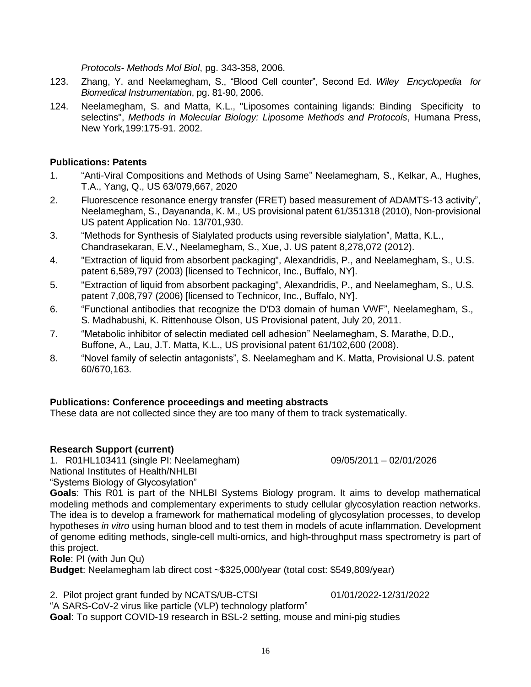*Protocols- Methods Mol Biol*, pg. 343-358, 2006.

- 123. Zhang, Y. and Neelamegham, S., "Blood Cell counter", Second Ed. *Wiley Encyclopedia for Biomedical Instrumentation*, pg. 81-90, 2006.
- 124. Neelamegham, S. and Matta, K.L., "Liposomes containing ligands: Binding Specificity to selectins", *Methods in Molecular Biology: Liposome Methods and Protocols*, Humana Press, New York*,*199:175-91. 2002.

### **Publications: Patents**

- 1. "Anti-Viral Compositions and Methods of Using Same" Neelamegham, S., Kelkar, A., Hughes, T.A., Yang, Q., US 63/079,667, 2020
- 2. Fluorescence resonance energy transfer (FRET) based measurement of ADAMTS-13 activity", Neelamegham, S., Dayananda, K. M., US provisional patent 61/351318 (2010), Non-provisional US patent Application No. 13/701,930.
- 3. "Methods for Synthesis of Sialylated products using reversible sialylation", Matta, K.L., Chandrasekaran, E.V., Neelamegham, S., Xue, J. US patent 8,278,072 (2012).
- 4. "Extraction of liquid from absorbent packaging", Alexandridis, P., and Neelamegham, S., U.S. patent 6,589,797 (2003) [licensed to Technicor, Inc., Buffalo, NY].
- 5. "Extraction of liquid from absorbent packaging", Alexandridis, P., and Neelamegham, S., U.S. patent 7,008,797 (2006) [licensed to Technicor, Inc., Buffalo, NY].
- 6. "Functional antibodies that recognize the D'D3 domain of human VWF", Neelamegham, S., S. Madhabushi, K. Rittenhouse Olson, US Provisional patent, July 20, 2011.
- 7. "Metabolic inhibitor of selectin mediated cell adhesion" Neelamegham, S. Marathe, D.D., Buffone, A., Lau, J.T. Matta, K.L., US provisional patent 61/102,600 (2008).
- 8. "Novel family of selectin antagonists", S. Neelamegham and K. Matta, Provisional U.S. patent 60/670,163.

### **Publications: Conference proceedings and meeting abstracts**

These data are not collected since they are too many of them to track systematically.

# **Research Support (current)**

1. R01HL103411 (single PI: Neelamegham) 09/05/2011 – 02/01/2026

National Institutes of Health/NHLBI

"Systems Biology of Glycosylation"

**Goals**: This R01 is part of the NHLBI Systems Biology program. It aims to develop mathematical modeling methods and complementary experiments to study cellular glycosylation reaction networks. The idea is to develop a framework for mathematical modeling of glycosylation processes, to develop hypotheses *in vitro* using human blood and to test them in models of acute inflammation. Development of genome editing methods, single-cell multi-omics, and high-throughput mass spectrometry is part of this project.

**Role**: PI (with Jun Qu)

**Budget**: Neelamegham lab direct cost ~\$325,000/year (total cost: \$549,809/year)

2. Pilot project grant funded by NCATS/UB-CTSI 01/01/2022-12/31/2022

"A SARS-CoV-2 virus like particle (VLP) technology platform" **Goal**: To support COVID-19 research in BSL-2 setting, mouse and mini-pig studies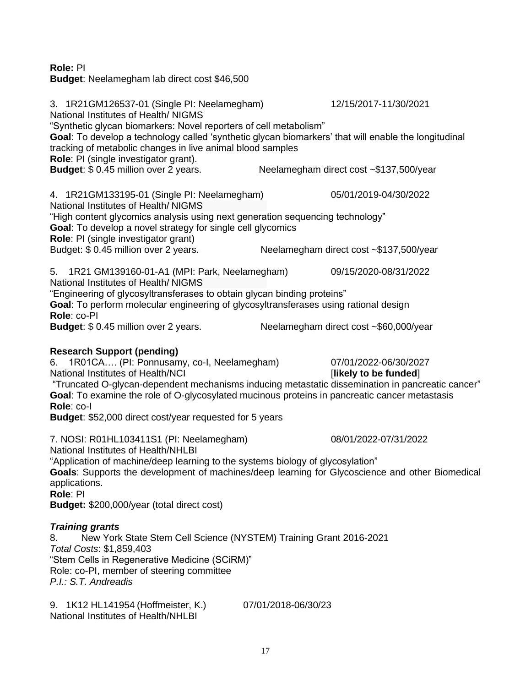### **Role:** PI

**Budget**: Neelamegham lab direct cost \$46,500

3. 1R21GM126537-01 (Single PI: Neelamegham) 12/15/2017-11/30/2021 National Institutes of Health/ NIGMS "Synthetic glycan biomarkers: Novel reporters of cell metabolism" **Goal**: To develop a technology called 'synthetic glycan biomarkers' that will enable the longitudinal tracking of metabolic changes in live animal blood samples **Role**: PI (single investigator grant). **Budget**: \$ 0.45 million over 2 years. Neelamegham direct cost ~\$137,500/year 4. 1R21GM133195-01 (Single PI: Neelamegham) 05/01/2019-04/30/2022 National Institutes of Health/ NIGMS "High content glycomics analysis using next generation sequencing technology" **Goal**: To develop a novel strategy for single cell glycomics **Role**: PI (single investigator grant) Budget: \$ 0.45 million over 2 years. Neelamegham direct cost ~\$137,500/vear 5. 1R21 GM139160-01-A1 (MPI: Park, Neelamegham) 09/15/2020-08/31/2022 National Institutes of Health/ NIGMS "Engineering of glycosyltransferases to obtain glycan binding proteins" **Goal**: To perform molecular engineering of glycosyltransferases using rational design **Role**: co-PI **Budget:** \$ 0.45 million over 2 years. Neelamegham direct cost ~\$60,000/year **Research Support (pending)** 6. 1R01CA…. (PI: Ponnusamy, co-I, Neelamegham) 07/01/2022-06/30/2027 National Institutes of Health/NCI *institutes of Health/NCI likely to be funded* "Truncated O-glycan-dependent mechanisms inducing metastatic dissemination in pancreatic cancer" **Goal**: To examine the role of O-glycosylated mucinous proteins in pancreatic cancer metastasis **Role**: co-I **Budget**: \$52,000 direct cost/year requested for 5 years 7. NOSI: R01HL103411S1 (PI: Neelamegham) 08/01/2022-07/31/2022 National Institutes of Health/NHLBI "Application of machine/deep learning to the systems biology of glycosylation" **Goals**: Supports the development of machines/deep learning for Glycoscience and other Biomedical applications. **Role**: PI **Budget:** \$200,000/year (total direct cost) *Training grants* 8. New York State Stem Cell Science (NYSTEM) Training Grant 2016-2021 *Total Costs*: \$1,859,403 "Stem Cells in Regenerative Medicine (SCiRM)" Role: co-PI, member of steering committee *P.I.: S.T. Andreadis* 9. 1K12 HL141954 (Hoffmeister, K.) 07/01/2018-06/30/23 National Institutes of Health/NHLBI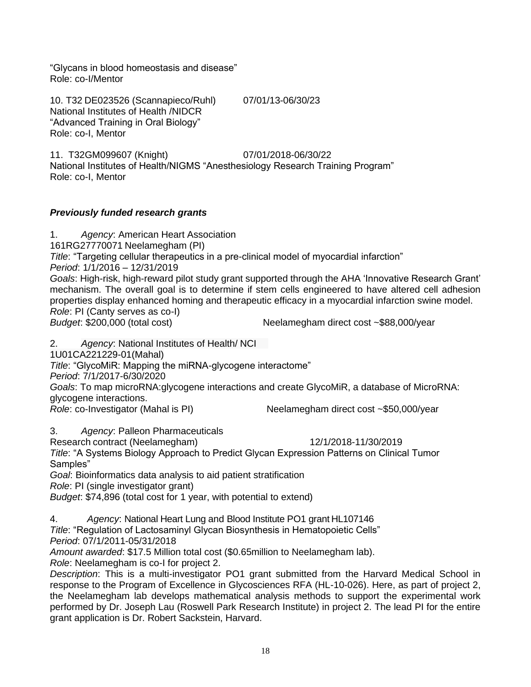"Glycans in blood homeostasis and disease" Role: co-I/Mentor

10. T32 DE023526 (Scannapieco/Ruhl) 07/01/13-06/30/23 National Institutes of Health /NIDCR "Advanced Training in Oral Biology" Role: co-I, Mentor

11. T32GM099607 (Knight) 07/01/2018-06/30/22 National Institutes of Health/NIGMS "Anesthesiology Research Training Program" Role: co-I, Mentor

# *Previously funded research grants*

1. *Agency*: American Heart Association

161RG27770071 Neelamegham (PI)

*Title*: "Targeting cellular therapeutics in a pre-clinical model of myocardial infarction"

*Period*: 1/1/2016 – 12/31/2019

*Goals*: High-risk, high-reward pilot study grant supported through the AHA 'Innovative Research Grant' mechanism. The overall goal is to determine if stem cells engineered to have altered cell adhesion properties display enhanced homing and therapeutic efficacy in a myocardial infarction swine model. *Role*: PI (Canty serves as co-I)

*Budget*: \$200,000 (total cost) Neelamegham direct cost ~\$88,000/year

2. *Agency*: National Institutes of Health/ NCI

[1U01CA221229-01\(](https://public.era.nih.gov/grantfolder/piAppDetails/genericStatus.do?encryptedParam=KehJ3xzuQkM.rJL9vRpbPO7B_dFotBJaQu4zpt7VYCQXtsf7N62-iZE)Mahal)

*Title*: "GlycoMiR: Mapping the miRNA-glycogene interactome"

*Period*: 7/1/2017-6/30/2020

*Goals*: To map microRNA:glycogene interactions and create GlycoMiR, a database of MicroRNA: glycogene interactions.

*Role*: co-Investigator (Mahal is PI) Neelamegham direct cost ~\$50,000/year

3. *Agency*: Palleon Pharmaceuticals

Research contract (Neelamegham) 12/1/2018-11/30/2019

*Title*: "A Systems Biology Approach to Predict Glycan Expression Patterns on Clinical Tumor Samples"

*Goal*: Bioinformatics data analysis to aid patient stratification

*Role*: PI (single investigator grant)

*Budget*: \$74,896 (total cost for 1 year, with potential to extend)

4. *Agency*: National Heart Lung and Blood Institute PO1 grant HL107146

*Title*: "Regulation of Lactosaminyl Glycan Biosynthesis in Hematopoietic Cells"

*Period*: 07/1/2011-05/31/2018

*Amount awarded*: \$17.5 Million total cost (\$0.65million to Neelamegham lab).

*Role*: Neelamegham is co-I for project 2.

*Description*: This is a multi-investigator PO1 grant submitted from the Harvard Medical School in response to the Program of Excellence in Glycosciences RFA (HL-10-026). Here, as part of project 2, the Neelamegham lab develops mathematical analysis methods to support the experimental work performed by Dr. Joseph Lau (Roswell Park Research Institute) in project 2. The lead PI for the entire grant application is Dr. Robert Sackstein, Harvard.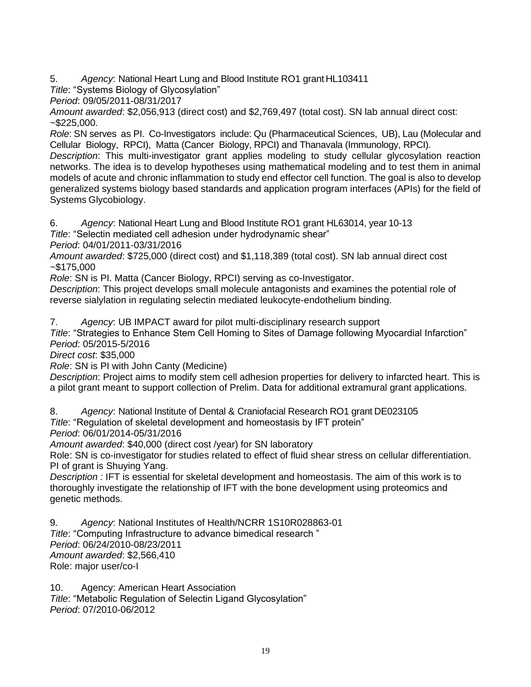5. *Agency*: National Heart Lung and Blood Institute RO1 grant HL103411

*Title*: "Systems Biology of Glycosylation"

*Period*: 09/05/2011-08/31/2017

*Amount awarded*: \$2,056,913 (direct cost) and \$2,769,497 (total cost). SN lab annual direct cost:  $~1.6225,000.$ 

*Role*: SN serves as PI. Co-Investigators include: Qu (Pharmaceutical Sciences, UB), Lau (Molecular and Cellular Biology, RPCI), Matta (Cancer Biology, RPCI) and Thanavala (Immunology, RPCI).

*Description*: This multi-investigator grant applies modeling to study cellular glycosylation reaction networks. The idea is to develop hypotheses using mathematical modeling and to test them in animal models of acute and chronic inflammation to study end effector cell function. The goal is also to develop generalized systems biology based standards and application program interfaces (APIs) for the field of Systems Glycobiology.

6. *Agency*: National Heart Lung and Blood Institute RO1 grant HL63014, year 10-13

*Title*: "Selectin mediated cell adhesion under hydrodynamic shear"

*Period*: 04/01/2011-03/31/2016

*Amount awarded*: \$725,000 (direct cost) and \$1,118,389 (total cost). SN lab annual direct cost  $-$ \$175,000

*Role*: SN is PI. Matta (Cancer Biology, RPCI) serving as co-Investigator.

*Description*: This project develops small molecule antagonists and examines the potential role of reverse sialylation in regulating selectin mediated leukocyte-endothelium binding.

7. *Agency*: UB IMPACT award for pilot multi-disciplinary research support

*Title*: "Strategies to Enhance Stem Cell Homing to Sites of Damage following Myocardial Infarction" *Period*: 05/2015-5/2016

*Direct cost*: \$35,000

*Role*: SN is PI with John Canty (Medicine)

*Description*: Project aims to modify stem cell adhesion properties for delivery to infarcted heart. This is a pilot grant meant to support collection of Prelim. Data for additional extramural grant applications.

8. *Agency*: National Institute of Dental & Craniofacial Research RO1 grant DE023105

*Title*: "Regulation of skeletal development and homeostasis by IFT protein"

*Period*: 06/01/2014-05/31/2016

*Amount awarded*: \$40,000 (direct cost /year) for SN laboratory

Role: SN is co-investigator for studies related to effect of fluid shear stress on cellular differentiation. PI of grant is Shuying Yang.

*Description :* IFT is essential for skeletal development and homeostasis. The aim of this work is to thoroughly investigate the relationship of IFT with the bone development using proteomics and genetic methods.

9. *Agency*: National Institutes of Health/NCRR 1S10R028863-01 *Title*: "Computing Infrastructure to advance bimedical research " *Period*: 06/24/2010-08/23/2011 *Amount awarded*: \$2,566,410 Role: major user/co-I

10. Agency: American Heart Association *Title*: "Metabolic Regulation of Selectin Ligand Glycosylation" *Period*: 07/2010-06/2012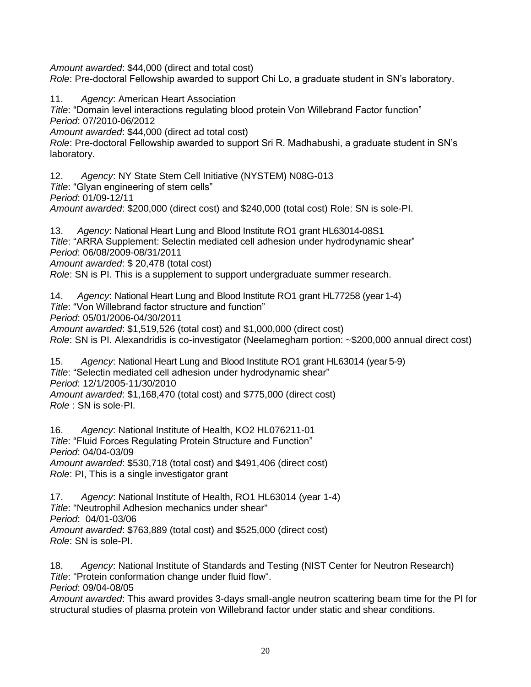*Amount awarded*: \$44,000 (direct and total cost)

*Role*: Pre-doctoral Fellowship awarded to support Chi Lo, a graduate student in SN's laboratory.

11. *Agency*: American Heart Association

*Title*: "Domain level interactions regulating blood protein Von Willebrand Factor function" *Period*: 07/2010-06/2012

*Amount awarded*: \$44,000 (direct ad total cost)

*Role*: Pre-doctoral Fellowship awarded to support Sri R. Madhabushi, a graduate student in SN's laboratory.

12. *Agency*: NY State Stem Cell Initiative (NYSTEM) N08G-013 *Title*: "Glyan engineering of stem cells" *Period*: 01/09-12/11 *Amount awarded*: \$200,000 (direct cost) and \$240,000 (total cost) Role: SN is sole-PI.

13. *Agency*: National Heart Lung and Blood Institute RO1 grant HL63014-08S1 *Title*: "ARRA Supplement: Selectin mediated cell adhesion under hydrodynamic shear" *Period*: 06/08/2009-08/31/2011 *Amount awarded*: \$ 20,478 (total cost) *Role*: SN is PI. This is a supplement to support undergraduate summer research.

14. *Agency*: National Heart Lung and Blood Institute RO1 grant HL77258 (year 1-4) *Title*: "Von Willebrand factor structure and function" *Period*: 05/01/2006-04/30/2011 *Amount awarded*: \$1,519,526 (total cost) and \$1,000,000 (direct cost) *Role*: SN is PI. Alexandridis is co-investigator (Neelamegham portion: ~\$200,000 annual direct cost)

15. *Agency*: National Heart Lung and Blood Institute RO1 grant HL63014 (year 5-9) *Title*: "Selectin mediated cell adhesion under hydrodynamic shear" *Period*: 12/1/2005-11/30/2010 *Amount awarded*: \$1,168,470 (total cost) and \$775,000 (direct cost) *Role* : SN is sole-PI.

16. *Agency*: National Institute of Health, KO2 HL076211-01 *Title*: "Fluid Forces Regulating Protein Structure and Function" *Period*: 04/04-03/09 *Amount awarded*: \$530,718 (total cost) and \$491,406 (direct cost) *Role*: PI, This is a single investigator grant

17. *Agency*: National Institute of Health, RO1 HL63014 (year 1-4) *Title*: "Neutrophil Adhesion mechanics under shear" *Period*: 04/01-03/06 *Amount awarded*: \$763,889 (total cost) and \$525,000 (direct cost) *Role*: SN is sole-PI.

18. *Agency*: National Institute of Standards and Testing (NIST Center for Neutron Research) *Title*: "Protein conformation change under fluid flow". *Period*: 09/04-08/05

*Amount awarded*: This award provides 3-days small-angle neutron scattering beam time for the PI for structural studies of plasma protein von Willebrand factor under static and shear conditions.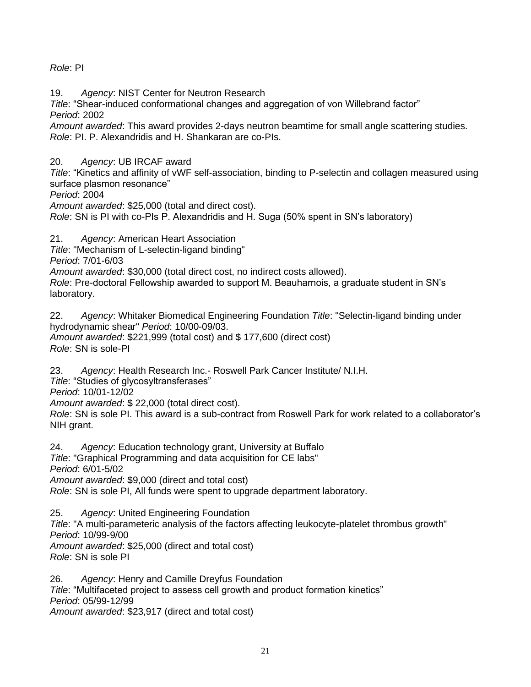# *Role*: PI

19. *Agency*: NIST Center for Neutron Research

*Title*: "Shear-induced conformational changes and aggregation of von Willebrand factor" *Period*: 2002

*Amount awarded*: This award provides 2-days neutron beamtime for small angle scattering studies. *Role*: PI. P. Alexandridis and H. Shankaran are co-PIs.

20. *Agency*: UB IRCAF award

*Title*: "Kinetics and affinity of vWF self-association, binding to P-selectin and collagen measured using surface plasmon resonance"

*Period*: 2004

*Amount awarded*: \$25,000 (total and direct cost).

*Role*: SN is PI with co-PIs P. Alexandridis and H. Suga (50% spent in SN's laboratory)

21. *Agency*: American Heart Association

*Title*: "Mechanism of L-selectin-ligand binding"

*Period*: 7/01-6/03

*Amount awarded*: \$30,000 (total direct cost, no indirect costs allowed).

*Role*: Pre-doctoral Fellowship awarded to support M. Beauharnois, a graduate student in SN's laboratory.

22. *Agency*: Whitaker Biomedical Engineering Foundation *Title*: "Selectin-ligand binding under hydrodynamic shear" *Period*: 10/00-09/03. *Amount awarded*: \$221,999 (total cost) and \$ 177,600 (direct cost) *Role*: SN is sole-PI

23. *Agency*: Health Research Inc.- Roswell Park Cancer Institute/ N.I.H.

*Title*: "Studies of glycosyltransferases"

*Period*: 10/01-12/02

*Amount awarded*: \$ 22,000 (total direct cost).

*Role*: SN is sole PI. This award is a sub-contract from Roswell Park for work related to a collaborator's NIH grant.

24. *Agency*: Education technology grant, University at Buffalo

*Title*: "Graphical Programming and data acquisition for CE labs"

*Period*: 6/01-5/02

*Amount awarded*: \$9,000 (direct and total cost)

*Role*: SN is sole PI, All funds were spent to upgrade department laboratory.

25. *Agency*: United Engineering Foundation

*Title*: "A multi-parameteric analysis of the factors affecting leukocyte-platelet thrombus growth" *Period*: 10/99-9/00

*Amount awarded*: \$25,000 (direct and total cost) *Role*: SN is sole PI

26. *Agency*: Henry and Camille Dreyfus Foundation *Title*: "Multifaceted project to assess cell growth and product formation kinetics" *Period*: 05/99-12/99 *Amount awarded*: \$23,917 (direct and total cost)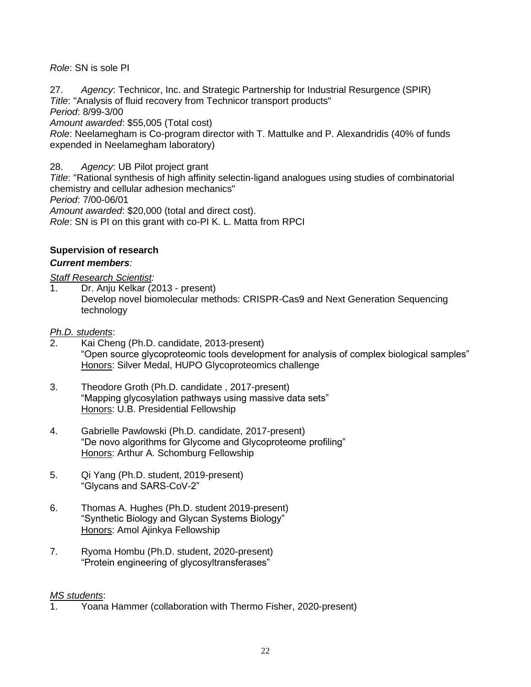*Role*: SN is sole PI

27. *Agency*: Technicor, Inc. and Strategic Partnership for Industrial Resurgence (SPIR) *Title*: "Analysis of fluid recovery from Technicor transport products" *Period*: 8/99-3/00 *Amount awarded*: \$55,005 (Total cost) *Role*: Neelamegham is Co-program director with T. Mattulke and P. Alexandridis (40% of funds expended in Neelamegham laboratory)

28. *Agency*: UB Pilot project grant

*Title*: "Rational synthesis of high affinity selectin-ligand analogues using studies of combinatorial chemistry and cellular adhesion mechanics" *Period*: 7/00-06/01 *Amount awarded*: \$20,000 (total and direct cost). *Role*: SN is PI on this grant with co-PI K. L. Matta from RPCI

# **Supervision of research**

### *Current members:*

*Staff Research Scientist:*

Dr. Aniu Kelkar (2013 - present) Develop novel biomolecular methods: CRISPR-Cas9 and Next Generation Sequencing technology

#### *Ph.D. students*:

- 2. Kai Cheng (Ph.D. candidate, 2013-present) "Open source glycoproteomic tools development for analysis of complex biological samples" Honors: Silver Medal, HUPO Glycoproteomics challenge
- 3. Theodore Groth (Ph.D. candidate , 2017-present) "Mapping glycosylation pathways using massive data sets" Honors: U.B. Presidential Fellowship
- 4. Gabrielle Pawlowski (Ph.D. candidate, 2017-present) "De novo algorithms for Glycome and Glycoproteome profiling" Honors: Arthur A. Schomburg Fellowship
- 5. Qi Yang (Ph.D. student, 2019-present) "Glycans and SARS-CoV-2"
- 6. Thomas A. Hughes (Ph.D. student 2019-present) "Synthetic Biology and Glycan Systems Biology" Honors: Amol Ajinkya Fellowship
- 7. Ryoma Hombu (Ph.D. student, 2020-present) "Protein engineering of glycosyltransferases"

### *MS students*:

1. Yoana Hammer (collaboration with Thermo Fisher, 2020-present)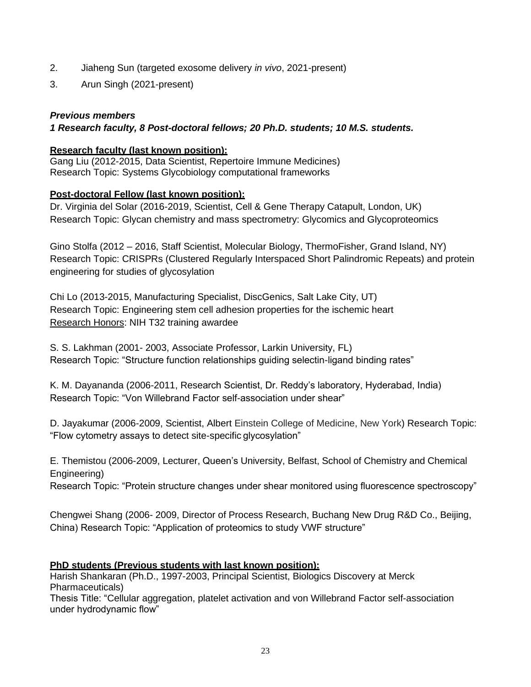- 2. Jiaheng Sun (targeted exosome delivery *in vivo*, 2021-present)
- 3. Arun Singh (2021-present)

### *Previous members*

### *1 Research faculty, 8 Post-doctoral fellows; 20 Ph.D. students; 10 M.S. students.*

### **Research faculty (last known position):**

Gang Liu (2012-2015, Data Scientist, Repertoire Immune Medicines) Research Topic: Systems Glycobiology computational frameworks

#### **Post-doctoral Fellow (last known position):**

Dr. Virginia del Solar (2016-2019, Scientist, Cell & Gene Therapy Catapult, London, UK) Research Topic: Glycan chemistry and mass spectrometry: Glycomics and Glycoproteomics

Gino Stolfa (2012 – 2016, Staff Scientist, Molecular Biology, ThermoFisher, Grand Island, NY) Research Topic: CRISPRs (Clustered Regularly Interspaced Short Palindromic Repeats) and protein engineering for studies of glycosylation

Chi Lo (2013-2015, Manufacturing Specialist, DiscGenics, Salt Lake City, UT) Research Topic: Engineering stem cell adhesion properties for the ischemic heart Research Honors: NIH T32 training awardee

S. S. Lakhman (2001- 2003, Associate Professor, Larkin University, FL) Research Topic: "Structure function relationships guiding selectin-ligand binding rates"

K. M. Dayananda (2006-2011, Research Scientist, Dr. Reddy's laboratory, Hyderabad, India) Research Topic: "Von Willebrand Factor self-association under shear"

D. Jayakumar (2006-2009, Scientist, Albert Einstein College of Medicine, New York) Research Topic: "Flow cytometry assays to detect site-specific glycosylation"

E. [Themistou](http://www.buffalo.edu/directory/find-people-detail-page.html?uid=et9&query=et9&affiliation&qualifier=username&perpage&start=0) (2006-2009, Lecturer, Queen's University, Belfast, School of Chemistry and Chemical Engineering)

Research Topic: "Protein structure changes under shear monitored using fluorescence spectroscopy"

Chengwei Shang (2006- 2009, Director of Process Research, Buchang New Drug R&D Co., Beijing, China) Research Topic: "Application of proteomics to study VWF structure"

### **PhD students (Previous students with last known position):**

Harish Shankaran (Ph.D., 1997-2003, Principal Scientist, Biologics Discovery at Merck Pharmaceuticals)

Thesis Title: "Cellular aggregation, platelet activation and von Willebrand Factor self-association under hydrodynamic flow"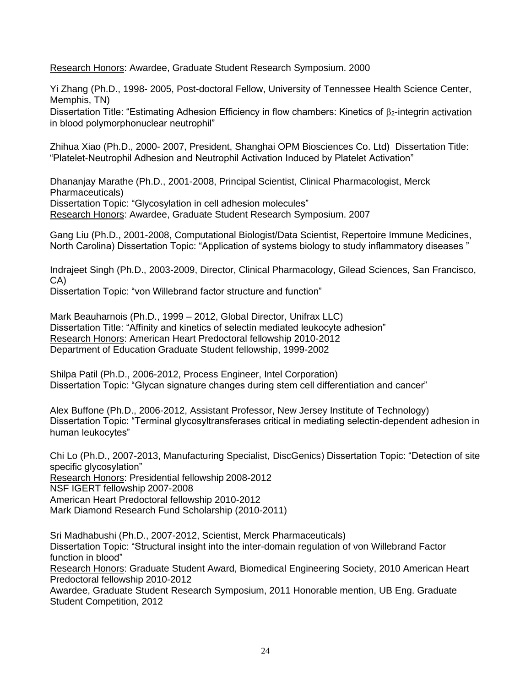Research Honors: Awardee, Graduate Student Research Symposium. 2000

Yi Zhang (Ph.D., 1998- 2005, Post-doctoral Fellow, University of Tennessee Health Science Center, Memphis, TN)

Dissertation Title: "Estimating Adhesion Efficiency in flow chambers: Kinetics of  $\beta$ <sub>2</sub>-integrin activation in blood polymorphonuclear neutrophil"

Zhihua Xiao (Ph.D., 2000- 2007, President, Shanghai OPM Biosciences Co. Ltd) Dissertation Title: "Platelet-Neutrophil Adhesion and Neutrophil Activation Induced by Platelet Activation"

Dhananjay Marathe (Ph.D., 2001-2008, Principal Scientist, Clinical Pharmacologist, Merck Pharmaceuticals) Dissertation Topic: "Glycosylation in cell adhesion molecules" Research Honors: Awardee, Graduate Student Research Symposium. 2007

Gang Liu (Ph.D., 2001-2008, Computational Biologist/Data Scientist, Repertoire Immune Medicines, North Carolina) Dissertation Topic: "Application of systems biology to study inflammatory diseases "

Indrajeet Singh (Ph.D., 2003-2009, Director, Clinical Pharmacology, Gilead Sciences, San Francisco, CA)

Dissertation Topic: "von Willebrand factor structure and function"

Mark Beauharnois (Ph.D., 1999 – 2012, Global Director, Unifrax LLC) Dissertation Title: "Affinity and kinetics of selectin mediated leukocyte adhesion" Research Honors: American Heart Predoctoral fellowship 2010-2012 Department of Education Graduate Student fellowship, 1999-2002

Shilpa Patil (Ph.D., 2006-2012, Process Engineer, Intel Corporation) Dissertation Topic: "Glycan signature changes during stem cell differentiation and cancer"

Alex Buffone (Ph.D., 2006-2012, Assistant Professor, New Jersey Institute of Technology) Dissertation Topic: "Terminal glycosyltransferases critical in mediating selectin-dependent adhesion in human leukocytes"

Chi Lo (Ph.D., 2007-2013, Manufacturing Specialist, DiscGenics) Dissertation Topic: "Detection of site specific glycosylation" Research Honors: Presidential fellowship 2008-2012

NSF IGERT fellowship 2007-2008

American Heart Predoctoral fellowship 2010-2012

Mark Diamond Research Fund Scholarship (2010-2011)

Sri Madhabushi (Ph.D., 2007-2012, Scientist, Merck Pharmaceuticals) Dissertation Topic: "Structural insight into the inter-domain regulation of von Willebrand Factor function in blood" Research Honors: Graduate Student Award, Biomedical Engineering Society, 2010 American Heart Predoctoral fellowship 2010-2012

Awardee, Graduate Student Research Symposium, 2011 Honorable mention, UB Eng. Graduate Student Competition, 2012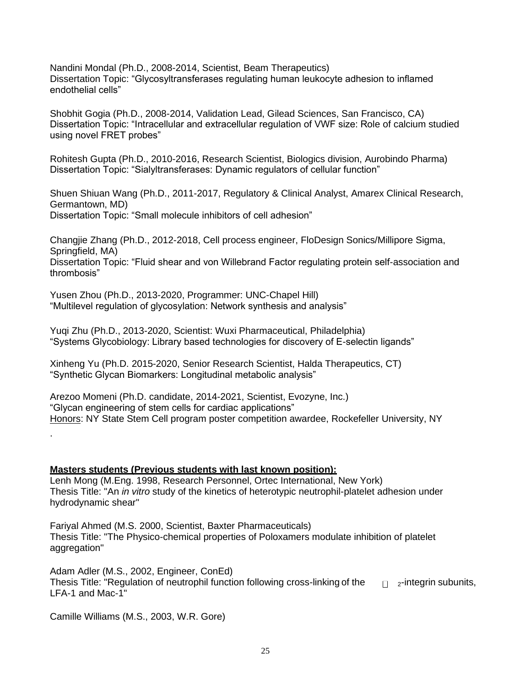Nandini Mondal (Ph.D., 2008-2014, Scientist, Beam Therapeutics) Dissertation Topic: "Glycosyltransferases regulating human leukocyte adhesion to inflamed endothelial cells"

Shobhit Gogia (Ph.D., 2008-2014, Validation Lead, Gilead Sciences, San Francisco, CA) Dissertation Topic: "Intracellular and extracellular regulation of VWF size: Role of calcium studied using novel FRET probes"

Rohitesh Gupta (Ph.D., 2010-2016, Research Scientist, Biologics division, Aurobindo Pharma) Dissertation Topic: "Sialyltransferases: Dynamic regulators of cellular function"

Shuen Shiuan Wang (Ph.D., 2011-2017, Regulatory & Clinical Analyst, Amarex Clinical Research, Germantown, MD) Dissertation Topic: "Small molecule inhibitors of cell adhesion"

Changjie Zhang (Ph.D., 2012-2018, Cell process engineer, FloDesign Sonics/Millipore Sigma, Springfield, MA) Dissertation Topic: "Fluid shear and von Willebrand Factor regulating protein self-association and thrombosis"

Yusen Zhou (Ph.D., 2013-2020, Programmer: UNC-Chapel Hill) "Multilevel regulation of glycosylation: Network synthesis and analysis"

Yuqi Zhu (Ph.D., 2013-2020, Scientist: Wuxi Pharmaceutical, Philadelphia) "Systems Glycobiology: Library based technologies for discovery of E-selectin ligands"

Xinheng Yu (Ph.D. 2015-2020, Senior Research Scientist, Halda Therapeutics, CT) "Synthetic Glycan Biomarkers: Longitudinal metabolic analysis"

Arezoo Momeni (Ph.D. candidate, 2014-2021, Scientist, Evozyne, Inc.) "Glycan engineering of stem cells for cardiac applications" Honors: NY State Stem Cell program poster competition awardee, Rockefeller University, NY

**Masters students (Previous students with last known position):** Lenh Mong (M.Eng. 1998, Research Personnel, Ortec International, New York) Thesis Title: "An *in vitro* study of the kinetics of heterotypic neutrophil-platelet adhesion under hydrodynamic shear"

Fariyal Ahmed (M.S. 2000, Scientist, Baxter Pharmaceuticals) Thesis Title: "The Physico-chemical properties of Poloxamers modulate inhibition of platelet aggregation"

Adam Adler (M.S., 2002, Engineer, ConEd) Thesis Title: "Regulation of neutrophil function following cross-linking of the  $\Box$  2-integrin subunits, LFA-1 and Mac-1"

Camille Williams (M.S., 2003, W.R. Gore)

.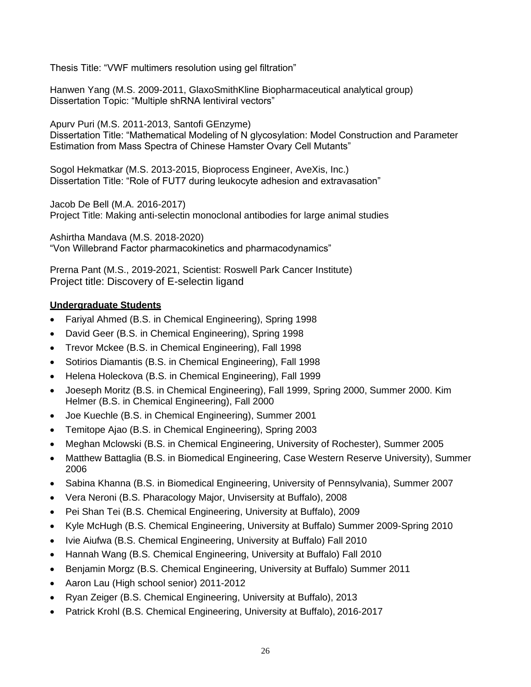Thesis Title: "VWF multimers resolution using gel filtration"

Hanwen Yang (M.S. 2009-2011, GlaxoSmithKline Biopharmaceutical analytical group) Dissertation Topic: "Multiple shRNA lentiviral vectors"

Apurv Puri (M.S. 2011-2013, Santofi GEnzyme) Dissertation Title: "Mathematical Modeling of N glycosylation: Model Construction and Parameter Estimation from Mass Spectra of Chinese Hamster Ovary Cell Mutants"

Sogol Hekmatkar (M.S. 2013-2015, Bioprocess Engineer, AveXis, Inc.) Dissertation Title: "Role of FUT7 during leukocyte adhesion and extravasation"

Jacob De Bell (M.A. 2016-2017) Project Title: Making anti-selectin monoclonal antibodies for large animal studies

Ashirtha Mandava (M.S. 2018-2020) "Von Willebrand Factor pharmacokinetics and pharmacodynamics"

Prerna Pant (M.S., 2019-2021, Scientist: Roswell Park Cancer Institute) Project title: Discovery of E-selectin ligand

# **Undergraduate Students**

- Fariyal Ahmed (B.S. in Chemical Engineering), Spring 1998
- David Geer (B.S. in Chemical Engineering), Spring 1998
- Trevor Mckee (B.S. in Chemical Engineering), Fall 1998
- Sotirios Diamantis (B.S. in Chemical Engineering), Fall 1998
- Helena Holeckova (B.S. in Chemical Engineering), Fall 1999
- Joeseph Moritz (B.S. in Chemical Engineering), Fall 1999, Spring 2000, Summer 2000. Kim Helmer (B.S. in Chemical Engineering), Fall 2000
- Joe Kuechle (B.S. in Chemical Engineering), Summer 2001
- Temitope Ajao (B.S. in Chemical Engineering), Spring 2003
- Meghan Mclowski (B.S. in Chemical Engineering, University of Rochester), Summer 2005
- Matthew Battaglia (B.S. in Biomedical Engineering, Case Western Reserve University), Summer 2006
- Sabina Khanna (B.S. in Biomedical Engineering, University of Pennsylvania), Summer 2007
- Vera Neroni (B.S. Pharacology Major, Unvisersity at Buffalo), 2008
- Pei Shan Tei (B.S. Chemical Engineering, University at Buffalo), 2009
- Kyle McHugh (B.S. Chemical Engineering, University at Buffalo) Summer 2009-Spring 2010
- Ivie Aiufwa (B.S. Chemical Engineering, University at Buffalo) Fall 2010
- Hannah Wang (B.S. Chemical Engineering, University at Buffalo) Fall 2010
- Benjamin Morgz (B.S. Chemical Engineering, University at Buffalo) Summer 2011
- Aaron Lau (High school senior) 2011-2012
- Ryan Zeiger (B.S. Chemical Engineering, University at Buffalo), 2013
- Patrick Krohl (B.S. Chemical Engineering, University at Buffalo), 2016-2017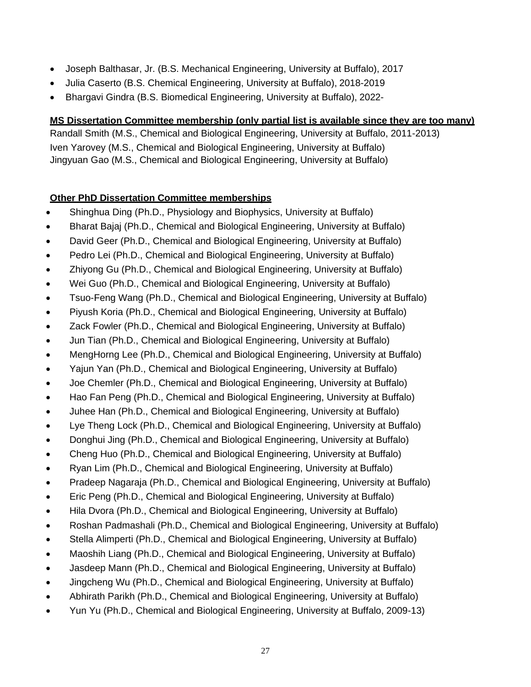- Joseph Balthasar, Jr. (B.S. Mechanical Engineering, University at Buffalo), 2017
- Julia Caserto (B.S. Chemical Engineering, University at Buffalo), 2018-2019
- Bhargavi Gindra (B.S. Biomedical Engineering, University at Buffalo), 2022-

# **MS Dissertation Committee membership (only partial list is available since they are too many)**

Randall Smith (M.S., Chemical and Biological Engineering, University at Buffalo, 2011-2013) Iven Yarovey (M.S., Chemical and Biological Engineering, University at Buffalo) Jingyuan Gao (M.S., Chemical and Biological Engineering, University at Buffalo)

# **Other PhD Dissertation Committee memberships**

- Shinghua Ding (Ph.D., Physiology and Biophysics, University at Buffalo)
- Bharat Bajaj (Ph.D., Chemical and Biological Engineering, University at Buffalo)
- David Geer (Ph.D., Chemical and Biological Engineering, University at Buffalo)
- Pedro Lei (Ph.D., Chemical and Biological Engineering, University at Buffalo)
- Zhiyong Gu (Ph.D., Chemical and Biological Engineering, University at Buffalo)
- Wei Guo (Ph.D., Chemical and Biological Engineering, University at Buffalo)
- Tsuo-Feng Wang (Ph.D., Chemical and Biological Engineering, University at Buffalo)
- Piyush Koria (Ph.D., Chemical and Biological Engineering, University at Buffalo)
- Zack Fowler (Ph.D., Chemical and Biological Engineering, University at Buffalo)
- Jun Tian (Ph.D., Chemical and Biological Engineering, University at Buffalo)
- MengHorng Lee (Ph.D., Chemical and Biological Engineering, University at Buffalo)
- Yajun Yan (Ph.D., Chemical and Biological Engineering, University at Buffalo)
- Joe Chemler (Ph.D., Chemical and Biological Engineering, University at Buffalo)
- Hao Fan Peng (Ph.D., Chemical and Biological Engineering, University at Buffalo)
- Juhee Han (Ph.D., Chemical and Biological Engineering, University at Buffalo)
- Lye Theng Lock (Ph.D., Chemical and Biological Engineering, University at Buffalo)
- Donghui Jing (Ph.D., Chemical and Biological Engineering, University at Buffalo)
- Cheng Huo (Ph.D., Chemical and Biological Engineering, University at Buffalo)
- Ryan Lim (Ph.D., Chemical and Biological Engineering, University at Buffalo)
- Pradeep Nagaraja (Ph.D., Chemical and Biological Engineering, University at Buffalo)
- Eric Peng (Ph.D., Chemical and Biological Engineering, University at Buffalo)
- Hila Dvora (Ph.D., Chemical and Biological Engineering, University at Buffalo)
- Roshan Padmashali (Ph.D., Chemical and Biological Engineering, University at Buffalo)
- Stella Alimperti (Ph.D., Chemical and Biological Engineering, University at Buffalo)
- Maoshih Liang (Ph.D., Chemical and Biological Engineering, University at Buffalo)
- Jasdeep Mann (Ph.D., Chemical and Biological Engineering, University at Buffalo)
- Jingcheng Wu (Ph.D., Chemical and Biological Engineering, University at Buffalo)
- Abhirath Parikh (Ph.D., Chemical and Biological Engineering, University at Buffalo)
- Yun Yu (Ph.D., Chemical and Biological Engineering, University at Buffalo, 2009-13)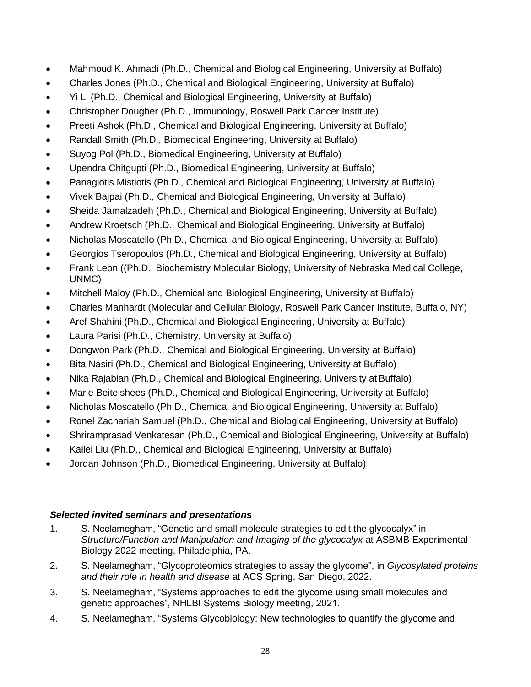- Mahmoud K. Ahmadi (Ph.D., Chemical and Biological Engineering, University at Buffalo)
- Charles Jones (Ph.D., Chemical and Biological Engineering, University at Buffalo)
- Yi Li (Ph.D., Chemical and Biological Engineering, University at Buffalo)
- Christopher Dougher (Ph.D., Immunology, Roswell Park Cancer Institute)
- Preeti Ashok (Ph.D., Chemical and Biological Engineering, University at Buffalo)
- Randall Smith (Ph.D., Biomedical Engineering, University at Buffalo)
- Suyog Pol (Ph.D., Biomedical Engineering, University at Buffalo)
- Upendra Chitgupti (Ph.D., Biomedical Engineering, University at Buffalo)
- Panagiotis Mistiotis (Ph.D., Chemical and Biological Engineering, University at Buffalo)
- Vivek Bajpai (Ph.D., Chemical and Biological Engineering, University at Buffalo)
- Sheida Jamalzadeh (Ph.D., Chemical and Biological Engineering, University at Buffalo)
- Andrew Kroetsch (Ph.D., Chemical and Biological Engineering, University at Buffalo)
- Nicholas Moscatello (Ph.D., Chemical and Biological Engineering, University at Buffalo)
- Georgios Tseropoulos (Ph.D., Chemical and Biological Engineering, University at Buffalo)
- Frank Leon ((Ph.D., Biochemistry Molecular Biology, University of Nebraska Medical College, UNMC)
- Mitchell Maloy (Ph.D., Chemical and Biological Engineering, University at Buffalo)
- Charles Manhardt (Molecular and Cellular Biology, Roswell Park Cancer Institute, Buffalo, NY)
- Aref Shahini (Ph.D., Chemical and Biological Engineering, University at Buffalo)
- Laura Parisi (Ph.D., Chemistry, University at Buffalo)
- Dongwon Park (Ph.D., Chemical and Biological Engineering, University at Buffalo)
- Bita Nasiri (Ph.D., Chemical and Biological Engineering, University at Buffalo)
- Nika Rajabian (Ph.D., Chemical and Biological Engineering, University at Buffalo)
- Marie Beitelshees (Ph.D., Chemical and Biological Engineering, University at Buffalo)
- Nicholas Moscatello (Ph.D., Chemical and Biological Engineering, University at Buffalo)
- Ronel Zachariah Samuel (Ph.D., Chemical and Biological Engineering, University at Buffalo)
- Shriramprasad Venkatesan (Ph.D., Chemical and Biological Engineering, University at Buffalo)
- Kailei Liu (Ph.D., Chemical and Biological Engineering, University at Buffalo)
- Jordan Johnson (Ph.D., Biomedical Engineering, University at Buffalo)

# *Selected invited seminars and presentations*

- 1. S. Neelamegham, "Genetic and small molecule strategies to edit the glycocalyx" in *Structure/Function and Manipulation and Imaging of the glycocalyx* at ASBMB Experimental Biology 2022 meeting, Philadelphia, PA.
- 2. S. Neelamegham, "Glycoproteomics strategies to assay the glycome", in *Glycosylated proteins and their role in health and disease* at ACS Spring, San Diego, 2022.
- 3. S. Neelamegham, "Systems approaches to edit the glycome using small molecules and genetic approaches", NHLBI Systems Biology meeting, 2021.
- 4. S. Neelamegham, "Systems Glycobiology: New technologies to quantify the glycome and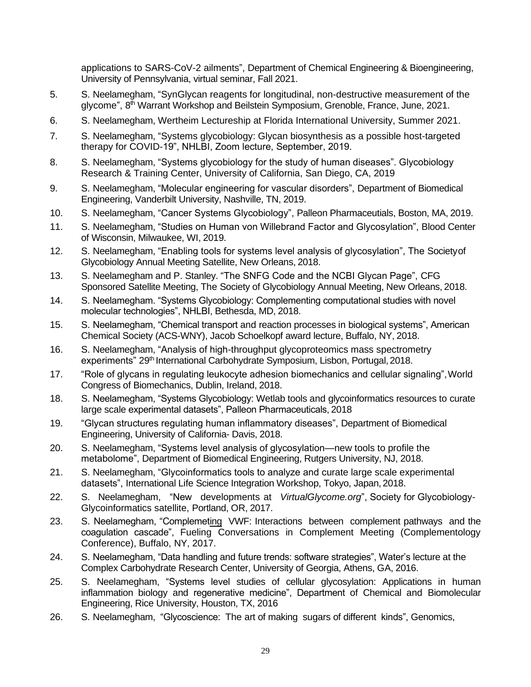applications to SARS-CoV-2 ailments", Department of Chemical Engineering & Bioengineering, University of Pennsylvania, virtual seminar, Fall 2021.

- 5. S. Neelamegham, "SynGlycan reagents for longitudinal, non-destructive measurement of the glycome", 8<sup>th</sup> Warrant Workshop and Beilstein Symposium, Grenoble, France, June, 2021.
- 6. S. Neelamegham, Wertheim Lectureship at Florida International University, Summer 2021.
- 7. S. Neelamegham, "Systems glycobiology: Glycan biosynthesis as a possible host-targeted therapy for COVID-19", NHLBI, Zoom lecture, September, 2019.
- 8. S. Neelamegham, "Systems glycobiology for the study of human diseases". Glycobiology Research & Training Center, University of California, San Diego, CA, 2019
- 9. S. Neelamegham, "Molecular engineering for vascular disorders", Department of Biomedical Engineering, Vanderbilt University, Nashville, TN, 2019.
- 10. S. Neelamegham, "Cancer Systems Glycobiology", Palleon Pharmaceutials, Boston, MA, 2019.
- 11. S. Neelamegham, "Studies on Human von Willebrand Factor and Glycosylation", Blood Center of Wisconsin, Milwaukee, WI, 2019.
- 12. S. Neelamegham, "Enabling tools for systems level analysis of glycosylation", The Societyof Glycobiology Annual Meeting Satellite, New Orleans, 2018.
- 13. S. Neelamegham and P. Stanley. "The SNFG Code and the NCBI Glycan Page", CFG Sponsored Satellite Meeting, The Society of Glycobiology Annual Meeting, New Orleans, 2018.
- 14. S. Neelamegham. "Systems Glycobiology: Complementing computational studies with novel molecular technologies", NHLBI, Bethesda, MD, 2018.
- 15. S. Neelamegham, "Chemical transport and reaction processes in biological systems", American Chemical Society (ACS-WNY), Jacob Schoelkopf award lecture, Buffalo, NY, 2018.
- 16. S. Neelamegham, "Analysis of high-throughput glycoproteomics mass spectrometry experiments" 29<sup>th</sup> International Carbohydrate Symposium, Lisbon, Portugal, 2018.
- 17. "Role of glycans in regulating leukocyte adhesion biomechanics and cellular signaling",World Congress of Biomechanics, Dublin, Ireland, 2018.
- 18. S. Neelamegham, "Systems Glycobiology: Wetlab tools and glycoinformatics resources to curate large scale experimental datasets", Palleon Pharmaceuticals, 2018
- 19. "Glycan structures regulating human inflammatory diseases", Department of Biomedical Engineering, University of California- Davis, 2018.
- 20. S. Neelamegham, "Systems level analysis of glycosylation—new tools to profile the metabolome", Department of Biomedical Engineering, Rutgers University, NJ, 2018.
- 21. S. Neelamegham, "Glycoinformatics tools to analyze and curate large scale experimental datasets", International Life Science Integration Workshop, Tokyo, Japan, 2018.
- 22. S. Neelamegham, "New developments at *VirtualGlycome.org*", Society for Glycobiology-Glycoinformatics satellite, Portland, OR, 2017.
- 23. S. Neelamegham, "Complemeting VWF: Interactions between complement pathways and the coagulation cascade", Fueling Conversations in Complement Meeting (Complementology Conference), Buffalo, NY, 2017.
- 24. S. Neelamegham, "Data handling and future trends: software strategies", Water's lecture at the Complex Carbohydrate Research Center, University of Georgia, Athens, GA, 2016.
- 25. S. Neelamegham, "Systems level studies of cellular glycosylation: Applications in human inflammation biology and regenerative medicine", Department of Chemical and Biomolecular Engineering, Rice University, Houston, TX, 2016
- 26. S. Neelamegham, "Glycoscience: The art of making sugars of different kinds", Genomics,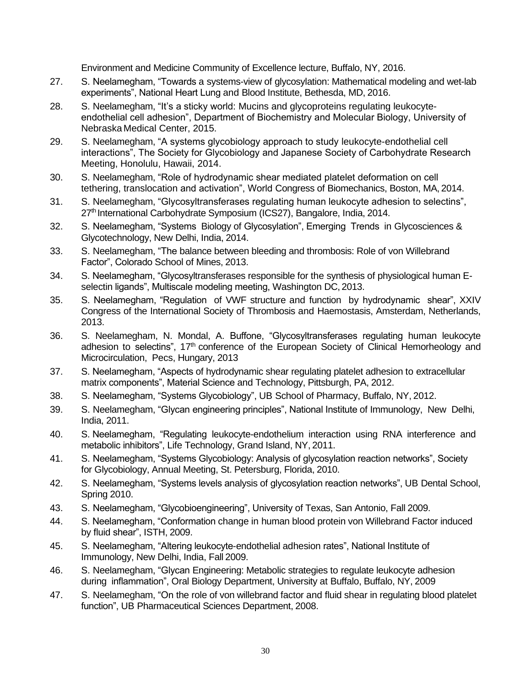Environment and Medicine Community of Excellence lecture, Buffalo, NY, 2016.

- 27. S. Neelamegham, "Towards a systems-view of glycosylation: Mathematical modeling and wet-lab experiments", National Heart Lung and Blood Institute, Bethesda, MD, 2016.
- 28. S. Neelamegham, "It's a sticky world: Mucins and glycoproteins regulating leukocyteendothelial cell adhesion", Department of Biochemistry and Molecular Biology, University of Nebraska Medical Center, 2015.
- 29. S. Neelamegham, "A systems glycobiology approach to study leukocyte-endothelial cell interactions", The Society for Glycobiology and Japanese Society of Carbohydrate Research Meeting, Honolulu, Hawaii, 2014.
- 30. S. Neelamegham, "Role of hydrodynamic shear mediated platelet deformation on cell tethering, translocation and activation", World Congress of Biomechanics, Boston, MA, 2014.
- 31. S. Neelamegham, "Glycosyltransferases regulating human leukocyte adhesion to selectins", 27th International Carbohydrate Symposium (ICS27), Bangalore, India, 2014.
- 32. S. Neelamegham, "Systems Biology of Glycosylation", Emerging Trends in Glycosciences & Glycotechnology, New Delhi, India, 2014.
- 33. S. Neelamegham, "The balance between bleeding and thrombosis: Role of von Willebrand Factor", Colorado School of Mines, 2013.
- 34. S. Neelamegham, "Glycosyltransferases responsible for the synthesis of physiological human Eselectin ligands", Multiscale modeling meeting, Washington DC, 2013.
- 35. S. Neelamegham, "Regulation of VWF structure and function by hydrodynamic shear", XXIV Congress of the International Society of Thrombosis and Haemostasis, Amsterdam, Netherlands, 2013.
- 36. S. Neelamegham, N. Mondal, A. Buffone, "Glycosyltransferases regulating human leukocyte adhesion to selectins", 17<sup>th</sup> conference of the European Society of Clinical Hemorheology and Microcirculation, Pecs, Hungary, 2013
- 37. S. Neelamegham, "Aspects of hydrodynamic shear regulating platelet adhesion to extracellular matrix components", Material Science and Technology, Pittsburgh, PA, 2012.
- 38. S. Neelamegham, "Systems Glycobiology", UB School of Pharmacy, Buffalo, NY, 2012.
- 39. S. Neelamegham, "Glycan engineering principles", National Institute of Immunology, New Delhi, India, 2011.
- 40. S. Neelamegham, "Regulating leukocyte-endothelium interaction using RNA interference and metabolic inhibitors", Life Technology, Grand Island, NY, 2011.
- 41. S. Neelamegham, "Systems Glycobiology: Analysis of glycosylation reaction networks", Society for Glycobiology, Annual Meeting, St. Petersburg, Florida, 2010.
- 42. S. Neelamegham, "Systems levels analysis of glycosylation reaction networks", UB Dental School, Spring 2010.
- 43. S. Neelamegham, "Glycobioengineering", University of Texas, San Antonio, Fall 2009.
- 44. S. Neelamegham, "Conformation change in human blood protein von Willebrand Factor induced by fluid shear", ISTH, 2009.
- 45. S. Neelamegham, "Altering leukocyte-endothelial adhesion rates", National Institute of Immunology, New Delhi, India, Fall 2009.
- 46. S. Neelamegham, "Glycan Engineering: Metabolic strategies to regulate leukocyte adhesion during inflammation", Oral Biology Department, University at Buffalo, Buffalo, NY, 2009
- 47. S. Neelamegham, "On the role of von willebrand factor and fluid shear in regulating blood platelet function", UB Pharmaceutical Sciences Department, 2008.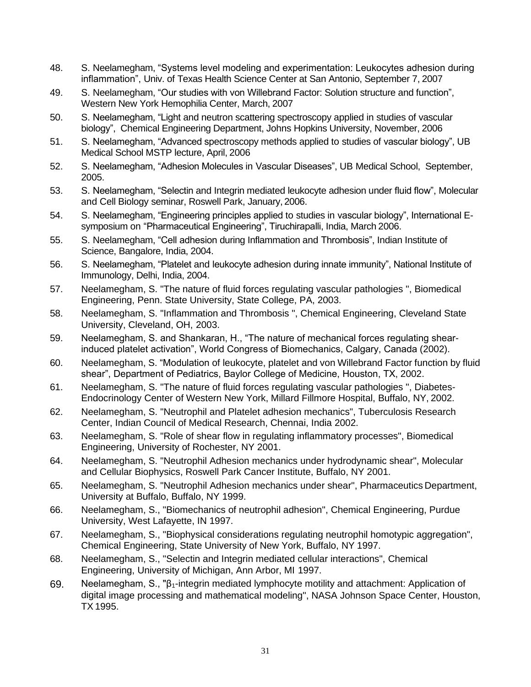- 48. S. Neelamegham, "Systems level modeling and experimentation: Leukocytes adhesion during inflammation", Univ. of Texas Health Science Center at San Antonio, September 7, 2007
- 49. S. Neelamegham, "Our studies with von Willebrand Factor: Solution structure and function", Western New York Hemophilia Center, March, 2007
- 50. S. Neelamegham, "Light and neutron scattering spectroscopy applied in studies of vascular biology", Chemical Engineering Department, Johns Hopkins University, November, 2006
- 51. S. Neelamegham, "Advanced spectroscopy methods applied to studies of vascular biology", UB Medical School MSTP lecture, April, 2006
- 52. S. Neelamegham, "Adhesion Molecules in Vascular Diseases", UB Medical School, September, 2005.
- 53. S. Neelamegham, "Selectin and Integrin mediated leukocyte adhesion under fluid flow", Molecular and Cell Biology seminar, Roswell Park, January, 2006.
- 54. S. Neelamegham, "Engineering principles applied to studies in vascular biology", International Esymposium on "Pharmaceutical Engineering", Tiruchirapalli, India, March 2006.
- 55. S. Neelamegham, "Cell adhesion during Inflammation and Thrombosis", Indian Institute of Science, Bangalore, India, 2004.
- 56. S. Neelamegham, "Platelet and leukocyte adhesion during innate immunity", National Institute of Immunology, Delhi, India, 2004.
- 57. Neelamegham, S. "The nature of fluid forces regulating vascular pathologies ", Biomedical Engineering, Penn. State University, State College, PA, 2003.
- 58. Neelamegham, S. "Inflammation and Thrombosis ", Chemical Engineering, Cleveland State University, Cleveland, OH, 2003.
- 59. Neelamegham, S. and Shankaran, H., "The nature of mechanical forces regulating shearinduced platelet activation", World Congress of Biomechanics, Calgary, Canada (2002).
- 60. Neelamegham, S. "Modulation of leukocyte, platelet and von Willebrand Factor function by fluid shear", Department of Pediatrics, Baylor College of Medicine, Houston, TX, 2002.
- 61. Neelamegham, S. "The nature of fluid forces regulating vascular pathologies ", Diabetes-Endocrinology Center of Western New York, Millard Fillmore Hospital, Buffalo, NY, 2002.
- 62. Neelamegham, S. "Neutrophil and Platelet adhesion mechanics", Tuberculosis Research Center, Indian Council of Medical Research, Chennai, India 2002.
- 63. Neelamegham, S. "Role of shear flow in regulating inflammatory processes", Biomedical Engineering, University of Rochester, NY 2001.
- 64. Neelamegham, S. "Neutrophil Adhesion mechanics under hydrodynamic shear", Molecular and Cellular Biophysics, Roswell Park Cancer Institute, Buffalo, NY 2001.
- 65. Neelamegham, S. "Neutrophil Adhesion mechanics under shear", Pharmaceutics Department, University at Buffalo, Buffalo, NY 1999.
- 66. Neelamegham, S., "Biomechanics of neutrophil adhesion", Chemical Engineering, Purdue University, West Lafayette, IN 1997.
- 67. Neelamegham, S., "Biophysical considerations regulating neutrophil homotypic aggregation", Chemical Engineering, State University of New York, Buffalo, NY 1997.
- 68. Neelamegham, S., "Selectin and Integrin mediated cellular interactions", Chemical Engineering, University of Michigan, Ann Arbor, MI 1997.
- 69. Neelamegham, S., "β1-integrin mediated lymphocyte motility and attachment: Application of digital image processing and mathematical modeling", NASA Johnson Space Center, Houston, TX 1995.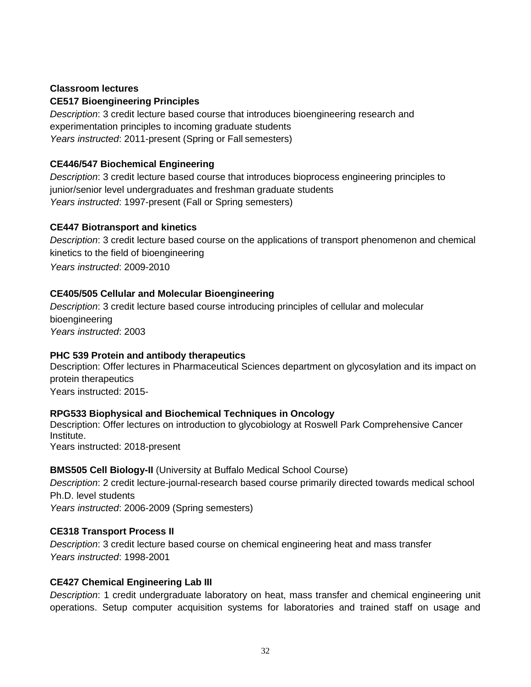### **Classroom lectures**

### **CE517 Bioengineering Principles**

*Description*: 3 credit lecture based course that introduces bioengineering research and experimentation principles to incoming graduate students *Years instructed*: 2011-present (Spring or Fall semesters)

# **CE446/547 Biochemical Engineering**

*Description*: 3 credit lecture based course that introduces bioprocess engineering principles to junior/senior level undergraduates and freshman graduate students *Years instructed*: 1997-present (Fall or Spring semesters)

# **CE447 Biotransport and kinetics**

*Description*: 3 credit lecture based course on the applications of transport phenomenon and chemical kinetics to the field of bioengineering *Years instructed*: 2009-2010

# **CE405/505 Cellular and Molecular Bioengineering**

*Description*: 3 credit lecture based course introducing principles of cellular and molecular bioengineering *Years instructed*: 2003

# **PHC 539 Protein and antibody therapeutics**

Description: Offer lectures in Pharmaceutical Sciences department on glycosylation and its impact on protein therapeutics Years instructed: 2015-

# **RPG533 Biophysical and Biochemical Techniques in Oncology**

Description: Offer lectures on introduction to glycobiology at Roswell Park Comprehensive Cancer Institute. Years instructed: 2018-present

# **BMS505 Cell Biology-II** (University at Buffalo Medical School Course)

*Description*: 2 credit lecture-journal-research based course primarily directed towards medical school Ph.D. level students

*Years instructed*: 2006-2009 (Spring semesters)

# **CE318 Transport Process II**

*Description*: 3 credit lecture based course on chemical engineering heat and mass transfer *Years instructed*: 1998-2001

# **CE427 Chemical Engineering Lab III**

*Description*: 1 credit undergraduate laboratory on heat, mass transfer and chemical engineering unit operations. Setup computer acquisition systems for laboratories and trained staff on usage and